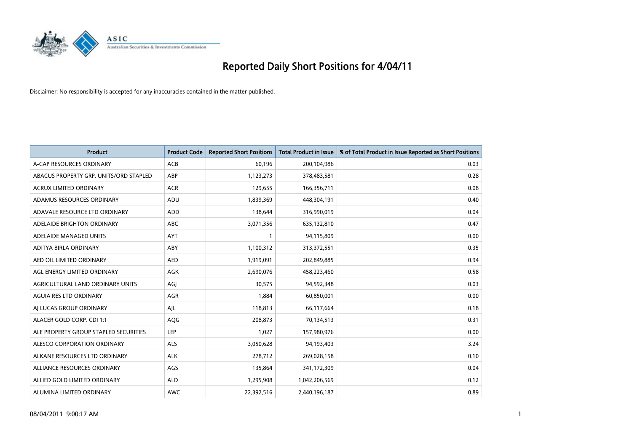

| <b>Product</b>                         | <b>Product Code</b> | <b>Reported Short Positions</b> | Total Product in Issue | % of Total Product in Issue Reported as Short Positions |
|----------------------------------------|---------------------|---------------------------------|------------------------|---------------------------------------------------------|
| A-CAP RESOURCES ORDINARY               | ACB                 | 60,196                          | 200,104,986            | 0.03                                                    |
| ABACUS PROPERTY GRP. UNITS/ORD STAPLED | ABP                 | 1,123,273                       | 378,483,581            | 0.28                                                    |
| <b>ACRUX LIMITED ORDINARY</b>          | <b>ACR</b>          | 129,655                         | 166,356,711            | 0.08                                                    |
| ADAMUS RESOURCES ORDINARY              | ADU                 | 1,839,369                       | 448,304,191            | 0.40                                                    |
| ADAVALE RESOURCE LTD ORDINARY          | <b>ADD</b>          | 138,644                         | 316,990,019            | 0.04                                                    |
| ADELAIDE BRIGHTON ORDINARY             | <b>ABC</b>          | 3,071,356                       | 635,132,810            | 0.47                                                    |
| ADELAIDE MANAGED UNITS                 | <b>AYT</b>          |                                 | 94,115,809             | 0.00                                                    |
| ADITYA BIRLA ORDINARY                  | ABY                 | 1,100,312                       | 313,372,551            | 0.35                                                    |
| AED OIL LIMITED ORDINARY               | <b>AED</b>          | 1,919,091                       | 202,849,885            | 0.94                                                    |
| AGL ENERGY LIMITED ORDINARY            | <b>AGK</b>          | 2,690,076                       | 458,223,460            | 0.58                                                    |
| AGRICULTURAL LAND ORDINARY UNITS       | AGJ                 | 30,575                          | 94,592,348             | 0.03                                                    |
| <b>AGUIA RES LTD ORDINARY</b>          | <b>AGR</b>          | 1,884                           | 60,850,001             | 0.00                                                    |
| AI LUCAS GROUP ORDINARY                | AJL                 | 118,813                         | 66,117,664             | 0.18                                                    |
| ALACER GOLD CORP. CDI 1:1              | <b>AQG</b>          | 208.873                         | 70,134,513             | 0.31                                                    |
| ALE PROPERTY GROUP STAPLED SECURITIES  | LEP                 | 1,027                           | 157,980,976            | 0.00                                                    |
| ALESCO CORPORATION ORDINARY            | <b>ALS</b>          | 3,050,628                       | 94,193,403             | 3.24                                                    |
| ALKANE RESOURCES LTD ORDINARY          | <b>ALK</b>          | 278,712                         | 269,028,158            | 0.10                                                    |
| ALLIANCE RESOURCES ORDINARY            | AGS                 | 135,864                         | 341,172,309            | 0.04                                                    |
| ALLIED GOLD LIMITED ORDINARY           | <b>ALD</b>          | 1,295,908                       | 1,042,206,569          | 0.12                                                    |
| ALUMINA LIMITED ORDINARY               | <b>AWC</b>          | 22.392.516                      | 2,440,196,187          | 0.89                                                    |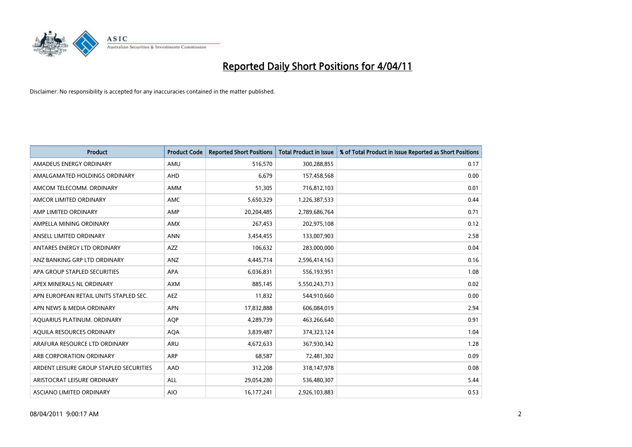

| <b>Product</b>                          | <b>Product Code</b> | <b>Reported Short Positions</b> | Total Product in Issue | % of Total Product in Issue Reported as Short Positions |
|-----------------------------------------|---------------------|---------------------------------|------------------------|---------------------------------------------------------|
| AMADEUS ENERGY ORDINARY                 | AMU                 | 516,570                         | 300,288,855            | 0.17                                                    |
| AMALGAMATED HOLDINGS ORDINARY           | <b>AHD</b>          | 6.679                           | 157,458,568            | 0.00                                                    |
| AMCOM TELECOMM. ORDINARY                | <b>AMM</b>          | 51,305                          | 716,812,103            | 0.01                                                    |
| AMCOR LIMITED ORDINARY                  | <b>AMC</b>          | 5,650,329                       | 1,226,387,533          | 0.44                                                    |
| AMP LIMITED ORDINARY                    | AMP                 | 20,204,485                      | 2,789,686,764          | 0.71                                                    |
| AMPELLA MINING ORDINARY                 | <b>AMX</b>          | 267,453                         | 202,975,108            | 0.12                                                    |
| ANSELL LIMITED ORDINARY                 | <b>ANN</b>          | 3,454,455                       | 133,007,903            | 2.58                                                    |
| ANTARES ENERGY LTD ORDINARY             | <b>AZZ</b>          | 106,632                         | 283,000,000            | 0.04                                                    |
| ANZ BANKING GRP LTD ORDINARY            | <b>ANZ</b>          | 4,445,714                       | 2,596,414,163          | 0.16                                                    |
| APA GROUP STAPLED SECURITIES            | <b>APA</b>          | 6,036,831                       | 556,193,951            | 1.08                                                    |
| APEX MINERALS NL ORDINARY               | <b>AXM</b>          | 885,145                         | 5,550,243,713          | 0.02                                                    |
| APN EUROPEAN RETAIL UNITS STAPLED SEC.  | <b>AEZ</b>          | 11,832                          | 544,910,660            | 0.00                                                    |
| APN NEWS & MEDIA ORDINARY               | <b>APN</b>          | 17,832,888                      | 606,084,019            | 2.94                                                    |
| AQUARIUS PLATINUM. ORDINARY             | <b>AOP</b>          | 4,289,739                       | 463,266,640            | 0.91                                                    |
| AQUILA RESOURCES ORDINARY               | <b>AQA</b>          | 3,839,487                       | 374,323,124            | 1.04                                                    |
| ARAFURA RESOURCE LTD ORDINARY           | <b>ARU</b>          | 4,672,633                       | 367,930,342            | 1.28                                                    |
| ARB CORPORATION ORDINARY                | ARP                 | 68,587                          | 72,481,302             | 0.09                                                    |
| ARDENT LEISURE GROUP STAPLED SECURITIES | AAD                 | 312,208                         | 318,147,978            | 0.08                                                    |
| ARISTOCRAT LEISURE ORDINARY             | <b>ALL</b>          | 29,054,280                      | 536,480,307            | 5.44                                                    |
| ASCIANO LIMITED ORDINARY                | <b>AIO</b>          | 16.177.241                      | 2,926,103,883          | 0.53                                                    |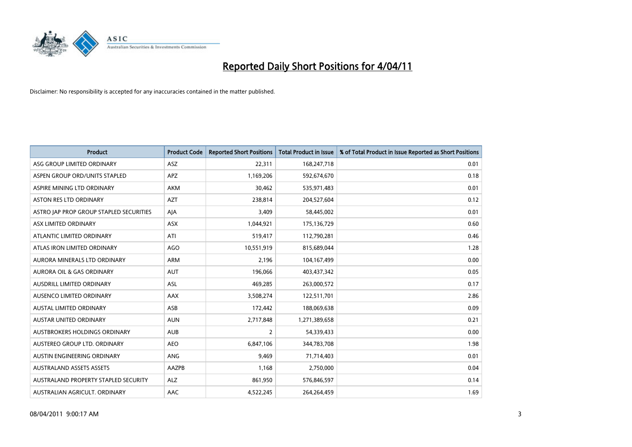

| Product                                 | <b>Product Code</b> | <b>Reported Short Positions</b> | Total Product in Issue | % of Total Product in Issue Reported as Short Positions |
|-----------------------------------------|---------------------|---------------------------------|------------------------|---------------------------------------------------------|
| ASG GROUP LIMITED ORDINARY              | ASZ                 | 22,311                          | 168,247,718            | 0.01                                                    |
| ASPEN GROUP ORD/UNITS STAPLED           | <b>APZ</b>          | 1,169,206                       | 592,674,670            | 0.18                                                    |
| ASPIRE MINING LTD ORDINARY              | <b>AKM</b>          | 30,462                          | 535,971,483            | 0.01                                                    |
| ASTON RES LTD ORDINARY                  | <b>AZT</b>          | 238,814                         | 204,527,604            | 0.12                                                    |
| ASTRO JAP PROP GROUP STAPLED SECURITIES | AJA                 | 3,409                           | 58,445,002             | 0.01                                                    |
| ASX LIMITED ORDINARY                    | <b>ASX</b>          | 1,044,921                       | 175,136,729            | 0.60                                                    |
| ATLANTIC LIMITED ORDINARY               | ATI                 | 519,417                         | 112,790,281            | 0.46                                                    |
| ATLAS IRON LIMITED ORDINARY             | AGO                 | 10,551,919                      | 815,689,044            | 1.28                                                    |
| AURORA MINERALS LTD ORDINARY            | ARM                 | 2,196                           | 104,167,499            | 0.00                                                    |
| <b>AURORA OIL &amp; GAS ORDINARY</b>    | <b>AUT</b>          | 196,066                         | 403,437,342            | 0.05                                                    |
| AUSDRILL LIMITED ORDINARY               | ASL                 | 469,285                         | 263,000,572            | 0.17                                                    |
| AUSENCO LIMITED ORDINARY                | AAX                 | 3,508,274                       | 122,511,701            | 2.86                                                    |
| <b>AUSTAL LIMITED ORDINARY</b>          | ASB                 | 172,442                         | 188,069,638            | 0.09                                                    |
| <b>AUSTAR UNITED ORDINARY</b>           | <b>AUN</b>          | 2,717,848                       | 1,271,389,658          | 0.21                                                    |
| AUSTBROKERS HOLDINGS ORDINARY           | <b>AUB</b>          | 2                               | 54,339,433             | 0.00                                                    |
| AUSTEREO GROUP LTD. ORDINARY            | <b>AEO</b>          | 6,847,106                       | 344,783,708            | 1.98                                                    |
| AUSTIN ENGINEERING ORDINARY             | ANG                 | 9,469                           | 71,714,403             | 0.01                                                    |
| <b>AUSTRALAND ASSETS ASSETS</b>         | AAZPB               | 1,168                           | 2,750,000              | 0.04                                                    |
| AUSTRALAND PROPERTY STAPLED SECURITY    | <b>ALZ</b>          | 861,950                         | 576,846,597            | 0.14                                                    |
| AUSTRALIAN AGRICULT. ORDINARY           | AAC                 | 4,522,245                       | 264,264,459            | 1.69                                                    |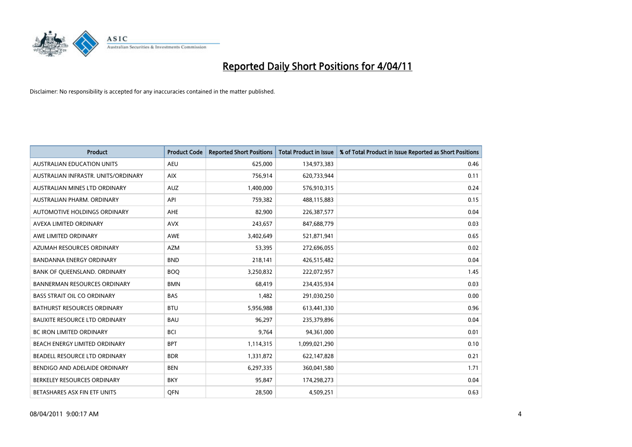

| <b>Product</b>                       | <b>Product Code</b> | <b>Reported Short Positions</b> | <b>Total Product in Issue</b> | % of Total Product in Issue Reported as Short Positions |
|--------------------------------------|---------------------|---------------------------------|-------------------------------|---------------------------------------------------------|
| <b>AUSTRALIAN EDUCATION UNITS</b>    | <b>AEU</b>          | 625,000                         | 134,973,383                   | 0.46                                                    |
| AUSTRALIAN INFRASTR. UNITS/ORDINARY  | <b>AIX</b>          | 756,914                         | 620,733,944                   | 0.11                                                    |
| AUSTRALIAN MINES LTD ORDINARY        | <b>AUZ</b>          | 1,400,000                       | 576,910,315                   | 0.24                                                    |
| AUSTRALIAN PHARM. ORDINARY           | API                 | 759,382                         | 488,115,883                   | 0.15                                                    |
| <b>AUTOMOTIVE HOLDINGS ORDINARY</b>  | <b>AHE</b>          | 82,900                          | 226,387,577                   | 0.04                                                    |
| AVEXA LIMITED ORDINARY               | <b>AVX</b>          | 243,657                         | 847,688,779                   | 0.03                                                    |
| AWE LIMITED ORDINARY                 | <b>AWE</b>          | 3,402,649                       | 521,871,941                   | 0.65                                                    |
| AZUMAH RESOURCES ORDINARY            | <b>AZM</b>          | 53,395                          | 272,696,055                   | 0.02                                                    |
| BANDANNA ENERGY ORDINARY             | <b>BND</b>          | 218,141                         | 426,515,482                   | 0.04                                                    |
| BANK OF QUEENSLAND. ORDINARY         | <b>BOO</b>          | 3,250,832                       | 222,072,957                   | 1.45                                                    |
| <b>BANNERMAN RESOURCES ORDINARY</b>  | <b>BMN</b>          | 68,419                          | 234,435,934                   | 0.03                                                    |
| <b>BASS STRAIT OIL CO ORDINARY</b>   | <b>BAS</b>          | 1,482                           | 291,030,250                   | 0.00                                                    |
| BATHURST RESOURCES ORDINARY          | <b>BTU</b>          | 5,956,988                       | 613,441,330                   | 0.96                                                    |
| <b>BAUXITE RESOURCE LTD ORDINARY</b> | <b>BAU</b>          | 96,297                          | 235,379,896                   | 0.04                                                    |
| <b>BC IRON LIMITED ORDINARY</b>      | <b>BCI</b>          | 9,764                           | 94,361,000                    | 0.01                                                    |
| BEACH ENERGY LIMITED ORDINARY        | <b>BPT</b>          | 1,114,315                       | 1,099,021,290                 | 0.10                                                    |
| BEADELL RESOURCE LTD ORDINARY        | <b>BDR</b>          | 1,331,872                       | 622,147,828                   | 0.21                                                    |
| BENDIGO AND ADELAIDE ORDINARY        | <b>BEN</b>          | 6,297,335                       | 360,041,580                   | 1.71                                                    |
| BERKELEY RESOURCES ORDINARY          | <b>BKY</b>          | 95,847                          | 174,298,273                   | 0.04                                                    |
| BETASHARES ASX FIN ETF UNITS         | <b>OFN</b>          | 28,500                          | 4,509,251                     | 0.63                                                    |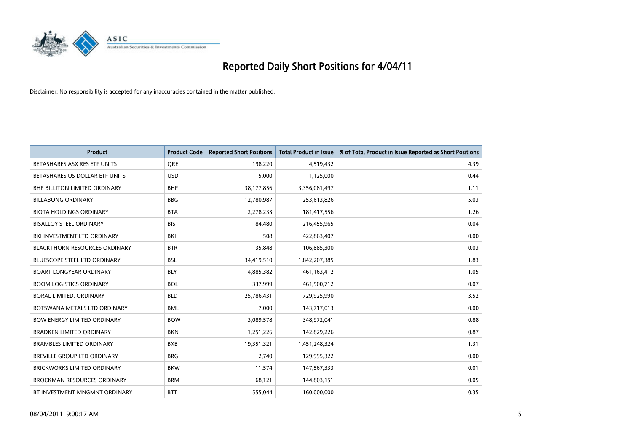

| Product                              | <b>Product Code</b> | <b>Reported Short Positions</b> | <b>Total Product in Issue</b> | % of Total Product in Issue Reported as Short Positions |
|--------------------------------------|---------------------|---------------------------------|-------------------------------|---------------------------------------------------------|
| BETASHARES ASX RES ETF UNITS         | <b>ORE</b>          | 198,220                         | 4,519,432                     | 4.39                                                    |
| BETASHARES US DOLLAR ETF UNITS       | <b>USD</b>          | 5,000                           | 1,125,000                     | 0.44                                                    |
| <b>BHP BILLITON LIMITED ORDINARY</b> | <b>BHP</b>          | 38,177,856                      | 3,356,081,497                 | 1.11                                                    |
| <b>BILLABONG ORDINARY</b>            | <b>BBG</b>          | 12,780,987                      | 253,613,826                   | 5.03                                                    |
| <b>BIOTA HOLDINGS ORDINARY</b>       | <b>BTA</b>          | 2,278,233                       | 181,417,556                   | 1.26                                                    |
| <b>BISALLOY STEEL ORDINARY</b>       | <b>BIS</b>          | 84,480                          | 216,455,965                   | 0.04                                                    |
| BKI INVESTMENT LTD ORDINARY          | BKI                 | 508                             | 422,863,407                   | 0.00                                                    |
| <b>BLACKTHORN RESOURCES ORDINARY</b> | <b>BTR</b>          | 35,848                          | 106,885,300                   | 0.03                                                    |
| <b>BLUESCOPE STEEL LTD ORDINARY</b>  | <b>BSL</b>          | 34,419,510                      | 1,842,207,385                 | 1.83                                                    |
| <b>BOART LONGYEAR ORDINARY</b>       | <b>BLY</b>          | 4,885,382                       | 461,163,412                   | 1.05                                                    |
| <b>BOOM LOGISTICS ORDINARY</b>       | <b>BOL</b>          | 337,999                         | 461,500,712                   | 0.07                                                    |
| BORAL LIMITED, ORDINARY              | <b>BLD</b>          | 25,786,431                      | 729,925,990                   | 3.52                                                    |
| BOTSWANA METALS LTD ORDINARY         | <b>BML</b>          | 7,000                           | 143,717,013                   | 0.00                                                    |
| <b>BOW ENERGY LIMITED ORDINARY</b>   | <b>BOW</b>          | 3,089,578                       | 348,972,041                   | 0.88                                                    |
| <b>BRADKEN LIMITED ORDINARY</b>      | <b>BKN</b>          | 1,251,226                       | 142,829,226                   | 0.87                                                    |
| <b>BRAMBLES LIMITED ORDINARY</b>     | <b>BXB</b>          | 19,351,321                      | 1,451,248,324                 | 1.31                                                    |
| BREVILLE GROUP LTD ORDINARY          | <b>BRG</b>          | 2,740                           | 129,995,322                   | 0.00                                                    |
| <b>BRICKWORKS LIMITED ORDINARY</b>   | <b>BKW</b>          | 11,574                          | 147,567,333                   | 0.01                                                    |
| <b>BROCKMAN RESOURCES ORDINARY</b>   | <b>BRM</b>          | 68,121                          | 144,803,151                   | 0.05                                                    |
| BT INVESTMENT MNGMNT ORDINARY        | <b>BTT</b>          | 555,044                         | 160,000,000                   | 0.35                                                    |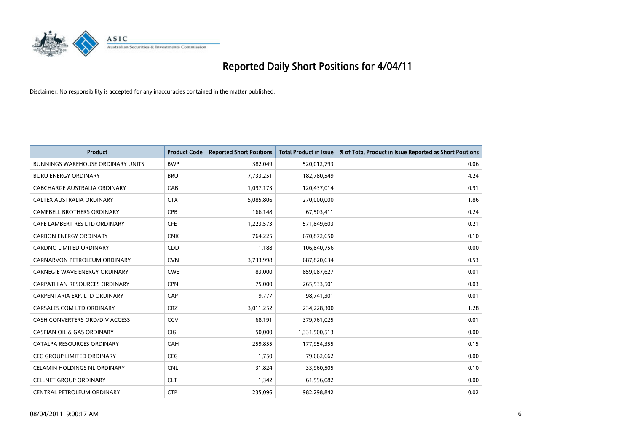

| <b>Product</b>                           | <b>Product Code</b> | <b>Reported Short Positions</b> | <b>Total Product in Issue</b> | % of Total Product in Issue Reported as Short Positions |
|------------------------------------------|---------------------|---------------------------------|-------------------------------|---------------------------------------------------------|
| <b>BUNNINGS WAREHOUSE ORDINARY UNITS</b> | <b>BWP</b>          | 382,049                         | 520,012,793                   | 0.06                                                    |
| <b>BURU ENERGY ORDINARY</b>              | <b>BRU</b>          | 7,733,251                       | 182,780,549                   | 4.24                                                    |
| CABCHARGE AUSTRALIA ORDINARY             | CAB                 | 1,097,173                       | 120,437,014                   | 0.91                                                    |
| CALTEX AUSTRALIA ORDINARY                | <b>CTX</b>          | 5,085,806                       | 270,000,000                   | 1.86                                                    |
| <b>CAMPBELL BROTHERS ORDINARY</b>        | CPB                 | 166,148                         | 67,503,411                    | 0.24                                                    |
| CAPE LAMBERT RES LTD ORDINARY            | <b>CFE</b>          | 1,223,573                       | 571,849,603                   | 0.21                                                    |
| <b>CARBON ENERGY ORDINARY</b>            | <b>CNX</b>          | 764.225                         | 670,872,650                   | 0.10                                                    |
| <b>CARDNO LIMITED ORDINARY</b>           | CDD                 | 1,188                           | 106,840,756                   | 0.00                                                    |
| CARNARVON PETROLEUM ORDINARY             | <b>CVN</b>          | 3,733,998                       | 687,820,634                   | 0.53                                                    |
| CARNEGIE WAVE ENERGY ORDINARY            | <b>CWE</b>          | 83.000                          | 859,087,627                   | 0.01                                                    |
| <b>CARPATHIAN RESOURCES ORDINARY</b>     | <b>CPN</b>          | 75,000                          | 265,533,501                   | 0.03                                                    |
| CARPENTARIA EXP. LTD ORDINARY            | CAP                 | 9,777                           | 98,741,301                    | 0.01                                                    |
| CARSALES.COM LTD ORDINARY                | <b>CRZ</b>          | 3,011,252                       | 234,228,300                   | 1.28                                                    |
| CASH CONVERTERS ORD/DIV ACCESS           | CCV                 | 68.191                          | 379,761,025                   | 0.01                                                    |
| <b>CASPIAN OIL &amp; GAS ORDINARY</b>    | <b>CIG</b>          | 50,000                          | 1,331,500,513                 | 0.00                                                    |
| CATALPA RESOURCES ORDINARY               | CAH                 | 259,855                         | 177,954,355                   | 0.15                                                    |
| <b>CEC GROUP LIMITED ORDINARY</b>        | <b>CEG</b>          | 1,750                           | 79,662,662                    | 0.00                                                    |
| CELAMIN HOLDINGS NL ORDINARY             | <b>CNL</b>          | 31,824                          | 33,960,505                    | 0.10                                                    |
| <b>CELLNET GROUP ORDINARY</b>            | <b>CLT</b>          | 1,342                           | 61,596,082                    | 0.00                                                    |
| CENTRAL PETROLEUM ORDINARY               | <b>CTP</b>          | 235,096                         | 982,298,842                   | 0.02                                                    |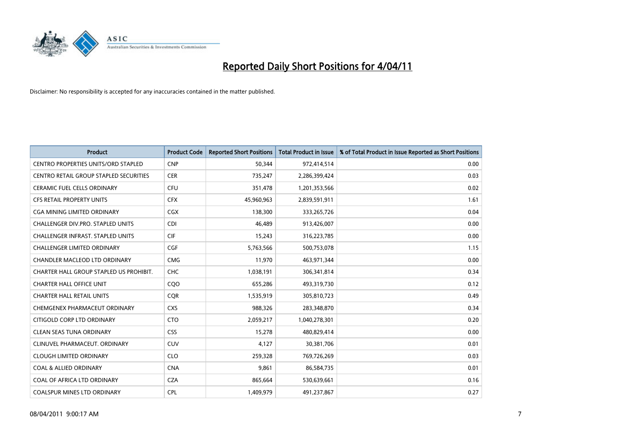

| <b>Product</b>                                | <b>Product Code</b> | <b>Reported Short Positions</b> | <b>Total Product in Issue</b> | % of Total Product in Issue Reported as Short Positions |
|-----------------------------------------------|---------------------|---------------------------------|-------------------------------|---------------------------------------------------------|
| <b>CENTRO PROPERTIES UNITS/ORD STAPLED</b>    | <b>CNP</b>          | 50,344                          | 972,414,514                   | 0.00                                                    |
| <b>CENTRO RETAIL GROUP STAPLED SECURITIES</b> | <b>CER</b>          | 735,247                         | 2,286,399,424                 | 0.03                                                    |
| <b>CERAMIC FUEL CELLS ORDINARY</b>            | <b>CFU</b>          | 351,478                         | 1,201,353,566                 | 0.02                                                    |
| CFS RETAIL PROPERTY UNITS                     | <b>CFX</b>          | 45,960,963                      | 2,839,591,911                 | 1.61                                                    |
| <b>CGA MINING LIMITED ORDINARY</b>            | <b>CGX</b>          | 138,300                         | 333,265,726                   | 0.04                                                    |
| <b>CHALLENGER DIV.PRO. STAPLED UNITS</b>      | <b>CDI</b>          | 46,489                          | 913,426,007                   | 0.00                                                    |
| <b>CHALLENGER INFRAST, STAPLED UNITS</b>      | <b>CIF</b>          | 15,243                          | 316,223,785                   | 0.00                                                    |
| <b>CHALLENGER LIMITED ORDINARY</b>            | <b>CGF</b>          | 5,763,566                       | 500,753,078                   | 1.15                                                    |
| CHANDLER MACLEOD LTD ORDINARY                 | <b>CMG</b>          | 11,970                          | 463,971,344                   | 0.00                                                    |
| CHARTER HALL GROUP STAPLED US PROHIBIT.       | <b>CHC</b>          | 1,038,191                       | 306,341,814                   | 0.34                                                    |
| <b>CHARTER HALL OFFICE UNIT</b>               | COO                 | 655,286                         | 493,319,730                   | 0.12                                                    |
| <b>CHARTER HALL RETAIL UNITS</b>              | <b>CQR</b>          | 1,535,919                       | 305,810,723                   | 0.49                                                    |
| CHEMGENEX PHARMACEUT ORDINARY                 | <b>CXS</b>          | 988.326                         | 283,348,870                   | 0.34                                                    |
| CITIGOLD CORP LTD ORDINARY                    | <b>CTO</b>          | 2,059,217                       | 1,040,278,301                 | 0.20                                                    |
| <b>CLEAN SEAS TUNA ORDINARY</b>               | <b>CSS</b>          | 15,278                          | 480,829,414                   | 0.00                                                    |
| CLINUVEL PHARMACEUT, ORDINARY                 | <b>CUV</b>          | 4,127                           | 30,381,706                    | 0.01                                                    |
| <b>CLOUGH LIMITED ORDINARY</b>                | <b>CLO</b>          | 259,328                         | 769,726,269                   | 0.03                                                    |
| <b>COAL &amp; ALLIED ORDINARY</b>             | <b>CNA</b>          | 9,861                           | 86,584,735                    | 0.01                                                    |
| COAL OF AFRICA LTD ORDINARY                   | <b>CZA</b>          | 865,664                         | 530,639,661                   | 0.16                                                    |
| <b>COALSPUR MINES LTD ORDINARY</b>            | CPL                 | 1.409.979                       | 491,237,867                   | 0.27                                                    |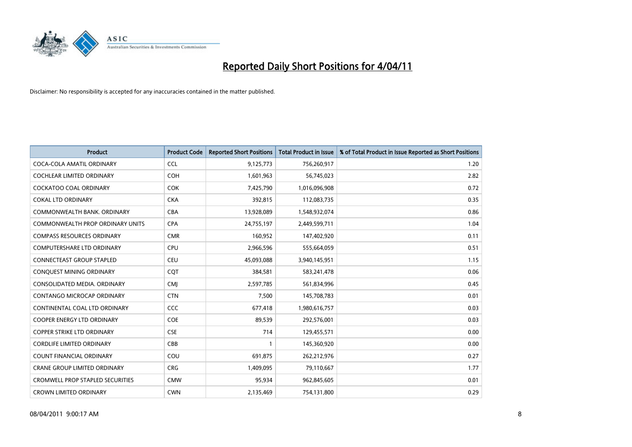

| <b>Product</b>                          | <b>Product Code</b> | <b>Reported Short Positions</b> | <b>Total Product in Issue</b> | % of Total Product in Issue Reported as Short Positions |
|-----------------------------------------|---------------------|---------------------------------|-------------------------------|---------------------------------------------------------|
| COCA-COLA AMATIL ORDINARY               | <b>CCL</b>          | 9,125,773                       | 756,260,917                   | 1.20                                                    |
| COCHLEAR LIMITED ORDINARY               | <b>COH</b>          | 1,601,963                       | 56,745,023                    | 2.82                                                    |
| <b>COCKATOO COAL ORDINARY</b>           | <b>COK</b>          | 7,425,790                       | 1,016,096,908                 | 0.72                                                    |
| <b>COKAL LTD ORDINARY</b>               | <b>CKA</b>          | 392,815                         | 112,083,735                   | 0.35                                                    |
| COMMONWEALTH BANK, ORDINARY             | <b>CBA</b>          | 13,928,089                      | 1,548,932,074                 | 0.86                                                    |
| <b>COMMONWEALTH PROP ORDINARY UNITS</b> | <b>CPA</b>          | 24,755,197                      | 2,449,599,711                 | 1.04                                                    |
| <b>COMPASS RESOURCES ORDINARY</b>       | <b>CMR</b>          | 160,952                         | 147,402,920                   | 0.11                                                    |
| <b>COMPUTERSHARE LTD ORDINARY</b>       | <b>CPU</b>          | 2,966,596                       | 555,664,059                   | 0.51                                                    |
| CONNECTEAST GROUP STAPLED               | <b>CEU</b>          | 45,093,088                      | 3,940,145,951                 | 1.15                                                    |
| CONQUEST MINING ORDINARY                | <b>COT</b>          | 384,581                         | 583,241,478                   | 0.06                                                    |
| CONSOLIDATED MEDIA, ORDINARY            | <b>CMJ</b>          | 2,597,785                       | 561,834,996                   | 0.45                                                    |
| <b>CONTANGO MICROCAP ORDINARY</b>       | <b>CTN</b>          | 7,500                           | 145,708,783                   | 0.01                                                    |
| CONTINENTAL COAL LTD ORDINARY           | <b>CCC</b>          | 677,418                         | 1,980,616,757                 | 0.03                                                    |
| COOPER ENERGY LTD ORDINARY              | <b>COE</b>          | 89,539                          | 292,576,001                   | 0.03                                                    |
| <b>COPPER STRIKE LTD ORDINARY</b>       | <b>CSE</b>          | 714                             | 129,455,571                   | 0.00                                                    |
| <b>CORDLIFE LIMITED ORDINARY</b>        | CBB                 |                                 | 145,360,920                   | 0.00                                                    |
| <b>COUNT FINANCIAL ORDINARY</b>         | COU                 | 691,875                         | 262,212,976                   | 0.27                                                    |
| CRANE GROUP LIMITED ORDINARY            | <b>CRG</b>          | 1,409,095                       | 79,110,667                    | 1.77                                                    |
| <b>CROMWELL PROP STAPLED SECURITIES</b> | <b>CMW</b>          | 95,934                          | 962,845,605                   | 0.01                                                    |
| <b>CROWN LIMITED ORDINARY</b>           | <b>CWN</b>          | 2,135,469                       | 754,131,800                   | 0.29                                                    |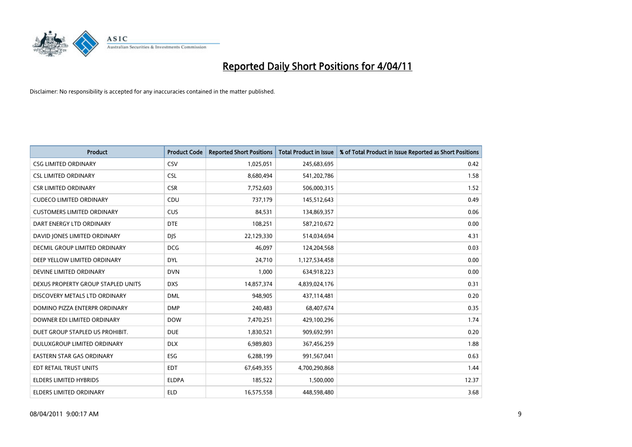

| Product                              | <b>Product Code</b> | <b>Reported Short Positions</b> | <b>Total Product in Issue</b> | % of Total Product in Issue Reported as Short Positions |
|--------------------------------------|---------------------|---------------------------------|-------------------------------|---------------------------------------------------------|
| <b>CSG LIMITED ORDINARY</b>          | <b>CSV</b>          | 1,025,051                       | 245,683,695                   | 0.42                                                    |
| <b>CSL LIMITED ORDINARY</b>          | <b>CSL</b>          | 8,680,494                       | 541,202,786                   | 1.58                                                    |
| <b>CSR LIMITED ORDINARY</b>          | <b>CSR</b>          | 7,752,603                       | 506,000,315                   | 1.52                                                    |
| <b>CUDECO LIMITED ORDINARY</b>       | CDU                 | 737,179                         | 145,512,643                   | 0.49                                                    |
| <b>CUSTOMERS LIMITED ORDINARY</b>    | <b>CUS</b>          | 84,531                          | 134,869,357                   | 0.06                                                    |
| DART ENERGY LTD ORDINARY             | <b>DTE</b>          | 108,251                         | 587,210,672                   | 0.00                                                    |
| DAVID JONES LIMITED ORDINARY         | <b>DJS</b>          | 22,129,330                      | 514,034,694                   | 4.31                                                    |
| <b>DECMIL GROUP LIMITED ORDINARY</b> | <b>DCG</b>          | 46,097                          | 124,204,568                   | 0.03                                                    |
| DEEP YELLOW LIMITED ORDINARY         | <b>DYL</b>          | 24,710                          | 1,127,534,458                 | 0.00                                                    |
| DEVINE LIMITED ORDINARY              | <b>DVN</b>          | 1,000                           | 634,918,223                   | 0.00                                                    |
| DEXUS PROPERTY GROUP STAPLED UNITS   | <b>DXS</b>          | 14,857,374                      | 4,839,024,176                 | 0.31                                                    |
| DISCOVERY METALS LTD ORDINARY        | <b>DML</b>          | 948,905                         | 437,114,481                   | 0.20                                                    |
| DOMINO PIZZA ENTERPR ORDINARY        | <b>DMP</b>          | 240,483                         | 68,407,674                    | 0.35                                                    |
| DOWNER EDI LIMITED ORDINARY          | <b>DOW</b>          | 7,470,251                       | 429,100,296                   | 1.74                                                    |
| DUET GROUP STAPLED US PROHIBIT.      | <b>DUE</b>          | 1,830,521                       | 909,692,991                   | 0.20                                                    |
| DULUXGROUP LIMITED ORDINARY          | <b>DLX</b>          | 6,989,803                       | 367,456,259                   | 1.88                                                    |
| <b>EASTERN STAR GAS ORDINARY</b>     | ESG                 | 6,288,199                       | 991,567,041                   | 0.63                                                    |
| EDT RETAIL TRUST UNITS               | <b>EDT</b>          | 67,649,355                      | 4,700,290,868                 | 1.44                                                    |
| ELDERS LIMITED HYBRIDS               | <b>ELDPA</b>        | 185,522                         | 1,500,000                     | 12.37                                                   |
| ELDERS LIMITED ORDINARY              | <b>ELD</b>          | 16,575,558                      | 448,598,480                   | 3.68                                                    |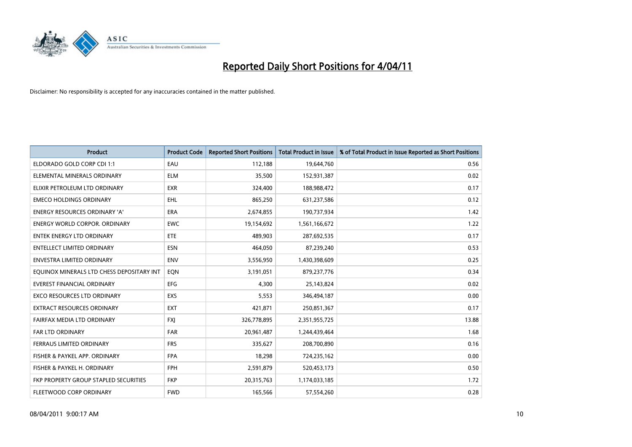

| <b>Product</b>                            | <b>Product Code</b> | <b>Reported Short Positions</b> | Total Product in Issue | % of Total Product in Issue Reported as Short Positions |
|-------------------------------------------|---------------------|---------------------------------|------------------------|---------------------------------------------------------|
| ELDORADO GOLD CORP CDI 1:1                | EAU                 | 112,188                         | 19,644,760             | 0.56                                                    |
| ELEMENTAL MINERALS ORDINARY               | <b>ELM</b>          | 35,500                          | 152,931,387            | 0.02                                                    |
| ELIXIR PETROLEUM LTD ORDINARY             | <b>EXR</b>          | 324,400                         | 188,988,472            | 0.17                                                    |
| <b>EMECO HOLDINGS ORDINARY</b>            | <b>EHL</b>          | 865,250                         | 631,237,586            | 0.12                                                    |
| <b>ENERGY RESOURCES ORDINARY 'A'</b>      | ERA                 | 2,674,855                       | 190,737,934            | 1.42                                                    |
| <b>ENERGY WORLD CORPOR, ORDINARY</b>      | <b>EWC</b>          | 19,154,692                      | 1,561,166,672          | 1.22                                                    |
| <b>ENTEK ENERGY LTD ORDINARY</b>          | <b>ETE</b>          | 489.903                         | 287,692,535            | 0.17                                                    |
| <b>ENTELLECT LIMITED ORDINARY</b>         | <b>ESN</b>          | 464,050                         | 87,239,240             | 0.53                                                    |
| ENVESTRA LIMITED ORDINARY                 | <b>ENV</b>          | 3,556,950                       | 1,430,398,609          | 0.25                                                    |
| EQUINOX MINERALS LTD CHESS DEPOSITARY INT | EON                 | 3,191,051                       | 879,237,776            | 0.34                                                    |
| EVEREST FINANCIAL ORDINARY                | <b>EFG</b>          | 4,300                           | 25,143,824             | 0.02                                                    |
| <b>EXCO RESOURCES LTD ORDINARY</b>        | <b>EXS</b>          | 5,553                           | 346,494,187            | 0.00                                                    |
| EXTRACT RESOURCES ORDINARY                | <b>EXT</b>          | 421,871                         | 250,851,367            | 0.17                                                    |
| FAIRFAX MEDIA LTD ORDINARY                | <b>FXI</b>          | 326,778,895                     | 2,351,955,725          | 13.88                                                   |
| <b>FAR LTD ORDINARY</b>                   | FAR                 | 20,961,487                      | 1,244,439,464          | 1.68                                                    |
| FERRAUS LIMITED ORDINARY                  | <b>FRS</b>          | 335,627                         | 208,700,890            | 0.16                                                    |
| FISHER & PAYKEL APP. ORDINARY             | <b>FPA</b>          | 18,298                          | 724,235,162            | 0.00                                                    |
| FISHER & PAYKEL H. ORDINARY               | <b>FPH</b>          | 2,591,879                       | 520,453,173            | 0.50                                                    |
| FKP PROPERTY GROUP STAPLED SECURITIES     | <b>FKP</b>          | 20,315,763                      | 1,174,033,185          | 1.72                                                    |
| <b>FLEETWOOD CORP ORDINARY</b>            | <b>FWD</b>          | 165,566                         | 57,554,260             | 0.28                                                    |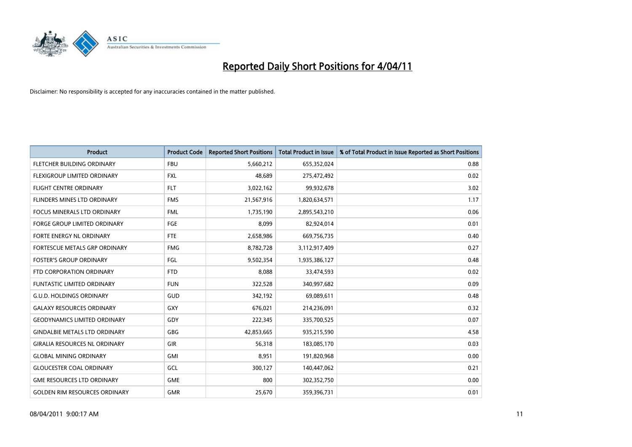

| <b>Product</b>                       | <b>Product Code</b> | <b>Reported Short Positions</b> | <b>Total Product in Issue</b> | % of Total Product in Issue Reported as Short Positions |
|--------------------------------------|---------------------|---------------------------------|-------------------------------|---------------------------------------------------------|
| FLETCHER BUILDING ORDINARY           | <b>FBU</b>          | 5,660,212                       | 655,352,024                   | 0.88                                                    |
| FLEXIGROUP LIMITED ORDINARY          | <b>FXL</b>          | 48,689                          | 275,472,492                   | 0.02                                                    |
| <b>FLIGHT CENTRE ORDINARY</b>        | <b>FLT</b>          | 3,022,162                       | 99,932,678                    | 3.02                                                    |
| FLINDERS MINES LTD ORDINARY          | <b>FMS</b>          | 21,567,916                      | 1,820,634,571                 | 1.17                                                    |
| <b>FOCUS MINERALS LTD ORDINARY</b>   | <b>FML</b>          | 1,735,190                       | 2,895,543,210                 | 0.06                                                    |
| <b>FORGE GROUP LIMITED ORDINARY</b>  | <b>FGE</b>          | 8,099                           | 82,924,014                    | 0.01                                                    |
| FORTE ENERGY NL ORDINARY             | <b>FTE</b>          | 2,658,986                       | 669,756,735                   | 0.40                                                    |
| FORTESCUE METALS GRP ORDINARY        | <b>FMG</b>          | 8,782,728                       | 3,112,917,409                 | 0.27                                                    |
| <b>FOSTER'S GROUP ORDINARY</b>       | FGL                 | 9,502,354                       | 1,935,386,127                 | 0.48                                                    |
| FTD CORPORATION ORDINARY             | <b>FTD</b>          | 8,088                           | 33,474,593                    | 0.02                                                    |
| <b>FUNTASTIC LIMITED ORDINARY</b>    | <b>FUN</b>          | 322,528                         | 340,997,682                   | 0.09                                                    |
| G.U.D. HOLDINGS ORDINARY             | GUD                 | 342,192                         | 69,089,611                    | 0.48                                                    |
| <b>GALAXY RESOURCES ORDINARY</b>     | GXY                 | 676,021                         | 214,236,091                   | 0.32                                                    |
| <b>GEODYNAMICS LIMITED ORDINARY</b>  | GDY                 | 222,345                         | 335,700,525                   | 0.07                                                    |
| <b>GINDALBIE METALS LTD ORDINARY</b> | GBG                 | 42,853,665                      | 935,215,590                   | 4.58                                                    |
| <b>GIRALIA RESOURCES NL ORDINARY</b> | GIR                 | 56,318                          | 183,085,170                   | 0.03                                                    |
| <b>GLOBAL MINING ORDINARY</b>        | <b>GMI</b>          | 8,951                           | 191,820,968                   | 0.00                                                    |
| <b>GLOUCESTER COAL ORDINARY</b>      | <b>GCL</b>          | 300,127                         | 140,447,062                   | 0.21                                                    |
| <b>GME RESOURCES LTD ORDINARY</b>    | <b>GME</b>          | 800                             | 302,352,750                   | 0.00                                                    |
| <b>GOLDEN RIM RESOURCES ORDINARY</b> | <b>GMR</b>          | 25,670                          | 359,396,731                   | 0.01                                                    |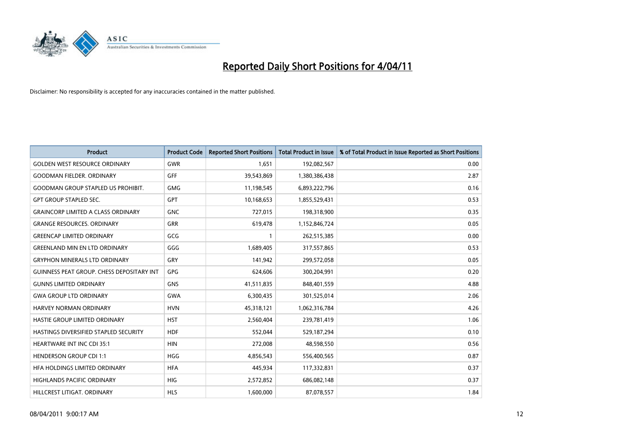

| <b>Product</b>                                   | <b>Product Code</b> | <b>Reported Short Positions</b> | <b>Total Product in Issue</b> | % of Total Product in Issue Reported as Short Positions |
|--------------------------------------------------|---------------------|---------------------------------|-------------------------------|---------------------------------------------------------|
| <b>GOLDEN WEST RESOURCE ORDINARY</b>             | <b>GWR</b>          | 1,651                           | 192,082,567                   | 0.00                                                    |
| <b>GOODMAN FIELDER, ORDINARY</b>                 | GFF                 | 39,543,869                      | 1,380,386,438                 | 2.87                                                    |
| <b>GOODMAN GROUP STAPLED US PROHIBIT.</b>        | <b>GMG</b>          | 11,198,545                      | 6,893,222,796                 | 0.16                                                    |
| <b>GPT GROUP STAPLED SEC.</b>                    | GPT                 | 10,168,653                      | 1,855,529,431                 | 0.53                                                    |
| <b>GRAINCORP LIMITED A CLASS ORDINARY</b>        | <b>GNC</b>          | 727,015                         | 198,318,900                   | 0.35                                                    |
| <b>GRANGE RESOURCES, ORDINARY</b>                | <b>GRR</b>          | 619,478                         | 1,152,846,724                 | 0.05                                                    |
| <b>GREENCAP LIMITED ORDINARY</b>                 | GCG                 |                                 | 262,515,385                   | 0.00                                                    |
| <b>GREENLAND MIN EN LTD ORDINARY</b>             | GGG                 | 1,689,405                       | 317,557,865                   | 0.53                                                    |
| <b>GRYPHON MINERALS LTD ORDINARY</b>             | GRY                 | 141,942                         | 299,572,058                   | 0.05                                                    |
| <b>GUINNESS PEAT GROUP. CHESS DEPOSITARY INT</b> | <b>GPG</b>          | 624.606                         | 300,204,991                   | 0.20                                                    |
| <b>GUNNS LIMITED ORDINARY</b>                    | <b>GNS</b>          | 41,511,835                      | 848,401,559                   | 4.88                                                    |
| <b>GWA GROUP LTD ORDINARY</b>                    | <b>GWA</b>          | 6,300,435                       | 301,525,014                   | 2.06                                                    |
| HARVEY NORMAN ORDINARY                           | <b>HVN</b>          | 45,318,121                      | 1,062,316,784                 | 4.26                                                    |
| HASTIE GROUP LIMITED ORDINARY                    | <b>HST</b>          | 2,560,404                       | 239,781,419                   | 1.06                                                    |
| HASTINGS DIVERSIFIED STAPLED SECURITY            | <b>HDF</b>          | 552,044                         | 529,187,294                   | 0.10                                                    |
| <b>HEARTWARE INT INC CDI 35:1</b>                | <b>HIN</b>          | 272,008                         | 48,598,550                    | 0.56                                                    |
| <b>HENDERSON GROUP CDI 1:1</b>                   | <b>HGG</b>          | 4,856,543                       | 556,400,565                   | 0.87                                                    |
| HFA HOLDINGS LIMITED ORDINARY                    | <b>HFA</b>          | 445,934                         | 117,332,831                   | 0.37                                                    |
| <b>HIGHLANDS PACIFIC ORDINARY</b>                | <b>HIG</b>          | 2,572,852                       | 686,082,148                   | 0.37                                                    |
| HILLCREST LITIGAT, ORDINARY                      | <b>HLS</b>          | 1,600,000                       | 87,078,557                    | 1.84                                                    |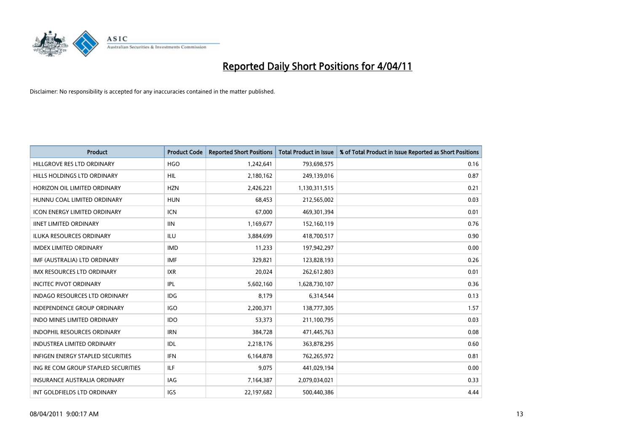

| <b>Product</b>                           | <b>Product Code</b> | <b>Reported Short Positions</b> | Total Product in Issue | % of Total Product in Issue Reported as Short Positions |
|------------------------------------------|---------------------|---------------------------------|------------------------|---------------------------------------------------------|
| HILLGROVE RES LTD ORDINARY               | <b>HGO</b>          | 1,242,641                       | 793,698,575            | 0.16                                                    |
| HILLS HOLDINGS LTD ORDINARY              | <b>HIL</b>          | 2,180,162                       | 249,139,016            | 0.87                                                    |
| HORIZON OIL LIMITED ORDINARY             | <b>HZN</b>          | 2,426,221                       | 1,130,311,515          | 0.21                                                    |
| HUNNU COAL LIMITED ORDINARY              | <b>HUN</b>          | 68,453                          | 212,565,002            | 0.03                                                    |
| <b>ICON ENERGY LIMITED ORDINARY</b>      | <b>ICN</b>          | 67.000                          | 469,301,394            | 0.01                                                    |
| <b>IINET LIMITED ORDINARY</b>            | <b>IIN</b>          | 1,169,677                       | 152,160,119            | 0.76                                                    |
| <b>ILUKA RESOURCES ORDINARY</b>          | <b>ILU</b>          | 3,884,699                       | 418,700,517            | 0.90                                                    |
| <b>IMDEX LIMITED ORDINARY</b>            | <b>IMD</b>          | 11,233                          | 197,942,297            | 0.00                                                    |
| IMF (AUSTRALIA) LTD ORDINARY             | <b>IMF</b>          | 329,821                         | 123,828,193            | 0.26                                                    |
| <b>IMX RESOURCES LTD ORDINARY</b>        | <b>IXR</b>          | 20,024                          | 262,612,803            | 0.01                                                    |
| <b>INCITEC PIVOT ORDINARY</b>            | IPL                 | 5,602,160                       | 1,628,730,107          | 0.36                                                    |
| <b>INDAGO RESOURCES LTD ORDINARY</b>     | <b>IDG</b>          | 8,179                           | 6,314,544              | 0.13                                                    |
| <b>INDEPENDENCE GROUP ORDINARY</b>       | <b>IGO</b>          | 2,200,371                       | 138,777,305            | 1.57                                                    |
| <b>INDO MINES LIMITED ORDINARY</b>       | <b>IDO</b>          | 53.373                          | 211,100,795            | 0.03                                                    |
| <b>INDOPHIL RESOURCES ORDINARY</b>       | <b>IRN</b>          | 384,728                         | 471,445,763            | 0.08                                                    |
| <b>INDUSTREA LIMITED ORDINARY</b>        | IDL                 | 2,218,176                       | 363,878,295            | 0.60                                                    |
| <b>INFIGEN ENERGY STAPLED SECURITIES</b> | <b>IFN</b>          | 6,164,878                       | 762,265,972            | 0.81                                                    |
| ING RE COM GROUP STAPLED SECURITIES      | ILF.                | 9,075                           | 441,029,194            | 0.00                                                    |
| <b>INSURANCE AUSTRALIA ORDINARY</b>      | IAG                 | 7,164,387                       | 2,079,034,021          | 0.33                                                    |
| INT GOLDFIELDS LTD ORDINARY              | IGS                 | 22,197,682                      | 500,440,386            | 4.44                                                    |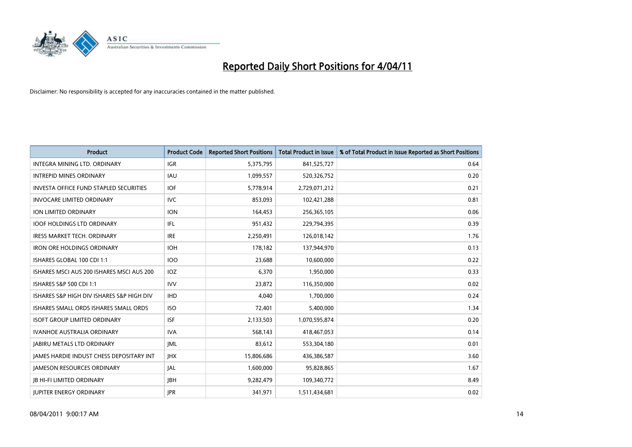

| <b>Product</b>                                | <b>Product Code</b> | <b>Reported Short Positions</b> | Total Product in Issue | % of Total Product in Issue Reported as Short Positions |
|-----------------------------------------------|---------------------|---------------------------------|------------------------|---------------------------------------------------------|
| INTEGRA MINING LTD, ORDINARY                  | <b>IGR</b>          | 5,375,795                       | 841,525,727            | 0.64                                                    |
| <b>INTREPID MINES ORDINARY</b>                | <b>IAU</b>          | 1,099,557                       | 520,326,752            | 0.20                                                    |
| <b>INVESTA OFFICE FUND STAPLED SECURITIES</b> | <b>IOF</b>          | 5,778,914                       | 2,729,071,212          | 0.21                                                    |
| <b>INVOCARE LIMITED ORDINARY</b>              | <b>IVC</b>          | 853,093                         | 102,421,288            | 0.81                                                    |
| <b>ION LIMITED ORDINARY</b>                   | <b>ION</b>          | 164,453                         | 256,365,105            | 0.06                                                    |
| <b>IOOF HOLDINGS LTD ORDINARY</b>             | <b>IFL</b>          | 951,432                         | 229,794,395            | 0.39                                                    |
| <b>IRESS MARKET TECH. ORDINARY</b>            | <b>IRE</b>          | 2,250,491                       | 126,018,142            | 1.76                                                    |
| <b>IRON ORE HOLDINGS ORDINARY</b>             | <b>IOH</b>          | 178,182                         | 137,944,970            | 0.13                                                    |
| ISHARES GLOBAL 100 CDI 1:1                    | <b>IOO</b>          | 23,688                          | 10,600,000             | 0.22                                                    |
| ISHARES MSCI AUS 200 ISHARES MSCI AUS 200     | <b>IOZ</b>          | 6,370                           | 1,950,000              | 0.33                                                    |
| ISHARES S&P 500 CDI 1:1                       | <b>IVV</b>          | 23,872                          | 116,350,000            | 0.02                                                    |
| ISHARES S&P HIGH DIV ISHARES S&P HIGH DIV     | <b>IHD</b>          | 4,040                           | 1,700,000              | 0.24                                                    |
| ISHARES SMALL ORDS ISHARES SMALL ORDS         | <b>ISO</b>          | 72,401                          | 5,400,000              | 1.34                                                    |
| <b>ISOFT GROUP LIMITED ORDINARY</b>           | <b>ISF</b>          | 2,133,503                       | 1,070,595,874          | 0.20                                                    |
| <b>IVANHOE AUSTRALIA ORDINARY</b>             | <b>IVA</b>          | 568,143                         | 418,467,053            | 0.14                                                    |
| <b>JABIRU METALS LTD ORDINARY</b>             | <b>IML</b>          | 83,612                          | 553,304,180            | 0.01                                                    |
| JAMES HARDIE INDUST CHESS DEPOSITARY INT      | <b>IHX</b>          | 15,806,686                      | 436,386,587            | 3.60                                                    |
| <b>JAMESON RESOURCES ORDINARY</b>             | <b>JAL</b>          | 1,600,000                       | 95,828,865             | 1.67                                                    |
| <b>IB HI-FI LIMITED ORDINARY</b>              | <b>IBH</b>          | 9,282,479                       | 109,340,772            | 8.49                                                    |
| <b>JUPITER ENERGY ORDINARY</b>                | <b>IPR</b>          | 341,971                         | 1,511,434,681          | 0.02                                                    |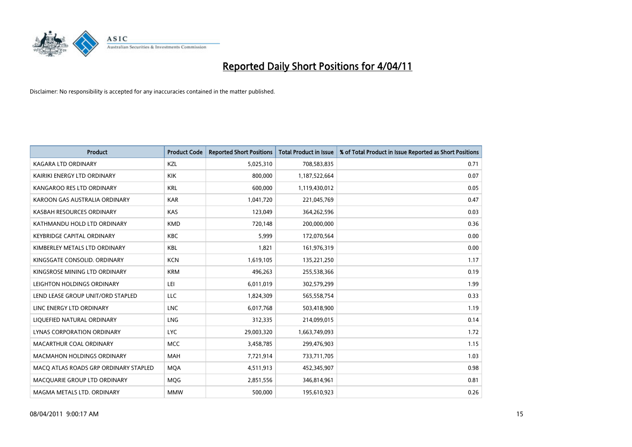

| <b>Product</b>                        | <b>Product Code</b> | <b>Reported Short Positions</b> | Total Product in Issue | % of Total Product in Issue Reported as Short Positions |
|---------------------------------------|---------------------|---------------------------------|------------------------|---------------------------------------------------------|
| <b>KAGARA LTD ORDINARY</b>            | KZL                 | 5,025,310                       | 708,583,835            | 0.71                                                    |
| KAIRIKI ENERGY LTD ORDINARY           | <b>KIK</b>          | 800.000                         | 1,187,522,664          | 0.07                                                    |
| KANGAROO RES LTD ORDINARY             | <b>KRL</b>          | 600,000                         | 1,119,430,012          | 0.05                                                    |
| KAROON GAS AUSTRALIA ORDINARY         | <b>KAR</b>          | 1,041,720                       | 221,045,769            | 0.47                                                    |
| KASBAH RESOURCES ORDINARY             | KAS                 | 123.049                         | 364,262,596            | 0.03                                                    |
| KATHMANDU HOLD LTD ORDINARY           | <b>KMD</b>          | 720,148                         | 200,000,000            | 0.36                                                    |
| <b>KEYBRIDGE CAPITAL ORDINARY</b>     | <b>KBC</b>          | 5.999                           | 172,070,564            | 0.00                                                    |
| KIMBERLEY METALS LTD ORDINARY         | <b>KBL</b>          | 1,821                           | 161,976,319            | 0.00                                                    |
| KINGSGATE CONSOLID. ORDINARY          | <b>KCN</b>          | 1,619,105                       | 135,221,250            | 1.17                                                    |
| KINGSROSE MINING LTD ORDINARY         | <b>KRM</b>          | 496,263                         | 255,538,366            | 0.19                                                    |
| LEIGHTON HOLDINGS ORDINARY            | LEI                 | 6,011,019                       | 302,579,299            | 1.99                                                    |
| LEND LEASE GROUP UNIT/ORD STAPLED     | LLC                 | 1,824,309                       | 565,558,754            | 0.33                                                    |
| LINC ENERGY LTD ORDINARY              | <b>LNC</b>          | 6,017,768                       | 503,418,900            | 1.19                                                    |
| LIQUEFIED NATURAL ORDINARY            | <b>LNG</b>          | 312,335                         | 214,099,015            | 0.14                                                    |
| LYNAS CORPORATION ORDINARY            | <b>LYC</b>          | 29,003,320                      | 1,663,749,093          | 1.72                                                    |
| MACARTHUR COAL ORDINARY               | <b>MCC</b>          | 3,458,785                       | 299,476,903            | 1.15                                                    |
| <b>MACMAHON HOLDINGS ORDINARY</b>     | <b>MAH</b>          | 7,721,914                       | 733,711,705            | 1.03                                                    |
| MACO ATLAS ROADS GRP ORDINARY STAPLED | <b>MOA</b>          | 4,511,913                       | 452,345,907            | 0.98                                                    |
| MACOUARIE GROUP LTD ORDINARY          | <b>MOG</b>          | 2,851,556                       | 346,814,961            | 0.81                                                    |
| MAGMA METALS LTD. ORDINARY            | <b>MMW</b>          | 500.000                         | 195,610,923            | 0.26                                                    |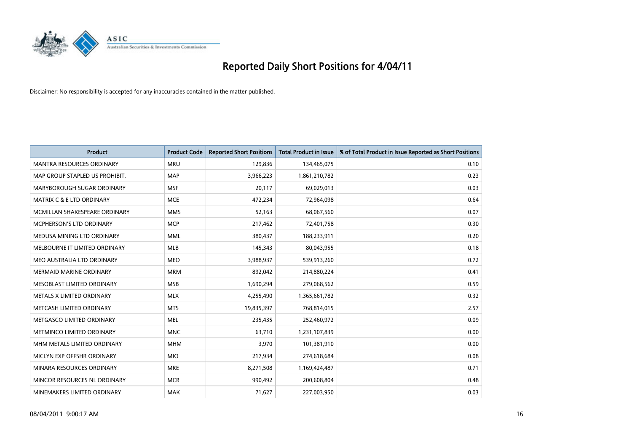

| Product                          | <b>Product Code</b> | <b>Reported Short Positions</b> | <b>Total Product in Issue</b> | % of Total Product in Issue Reported as Short Positions |
|----------------------------------|---------------------|---------------------------------|-------------------------------|---------------------------------------------------------|
| <b>MANTRA RESOURCES ORDINARY</b> | <b>MRU</b>          | 129,836                         | 134,465,075                   | 0.10                                                    |
| MAP GROUP STAPLED US PROHIBIT.   | <b>MAP</b>          | 3,966,223                       | 1,861,210,782                 | 0.23                                                    |
| MARYBOROUGH SUGAR ORDINARY       | <b>MSF</b>          | 20,117                          | 69,029,013                    | 0.03                                                    |
| MATRIX C & E LTD ORDINARY        | <b>MCE</b>          | 472,234                         | 72,964,098                    | 0.64                                                    |
| MCMILLAN SHAKESPEARE ORDINARY    | <b>MMS</b>          | 52,163                          | 68,067,560                    | 0.07                                                    |
| <b>MCPHERSON'S LTD ORDINARY</b>  | <b>MCP</b>          | 217,462                         | 72,401,758                    | 0.30                                                    |
| MEDUSA MINING LTD ORDINARY       | <b>MML</b>          | 380,437                         | 188,233,911                   | 0.20                                                    |
| MELBOURNE IT LIMITED ORDINARY    | <b>MLB</b>          | 145,343                         | 80,043,955                    | 0.18                                                    |
| MEO AUSTRALIA LTD ORDINARY       | <b>MEO</b>          | 3,988,937                       | 539,913,260                   | 0.72                                                    |
| <b>MERMAID MARINE ORDINARY</b>   | <b>MRM</b>          | 892,042                         | 214,880,224                   | 0.41                                                    |
| MESOBLAST LIMITED ORDINARY       | <b>MSB</b>          | 1,690,294                       | 279,068,562                   | 0.59                                                    |
| METALS X LIMITED ORDINARY        | <b>MLX</b>          | 4,255,490                       | 1,365,661,782                 | 0.32                                                    |
| METCASH LIMITED ORDINARY         | <b>MTS</b>          | 19,835,397                      | 768,814,015                   | 2.57                                                    |
| METGASCO LIMITED ORDINARY        | <b>MEL</b>          | 235,435                         | 252,460,972                   | 0.09                                                    |
| METMINCO LIMITED ORDINARY        | <b>MNC</b>          | 63,710                          | 1,231,107,839                 | 0.00                                                    |
| MHM METALS LIMITED ORDINARY      | <b>MHM</b>          | 3,970                           | 101,381,910                   | 0.00                                                    |
| MICLYN EXP OFFSHR ORDINARY       | <b>MIO</b>          | 217,934                         | 274,618,684                   | 0.08                                                    |
| MINARA RESOURCES ORDINARY        | <b>MRE</b>          | 8,271,508                       | 1,169,424,487                 | 0.71                                                    |
| MINCOR RESOURCES NL ORDINARY     | <b>MCR</b>          | 990,492                         | 200,608,804                   | 0.48                                                    |
| MINEMAKERS LIMITED ORDINARY      | <b>MAK</b>          | 71,627                          | 227,003,950                   | 0.03                                                    |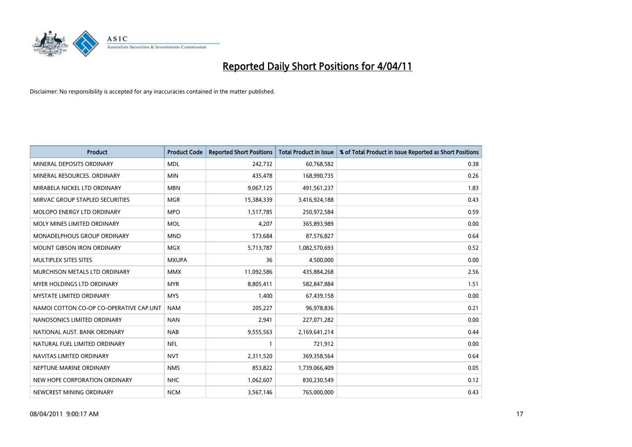

| <b>Product</b>                          | <b>Product Code</b> | <b>Reported Short Positions</b> | <b>Total Product in Issue</b> | % of Total Product in Issue Reported as Short Positions |
|-----------------------------------------|---------------------|---------------------------------|-------------------------------|---------------------------------------------------------|
| MINERAL DEPOSITS ORDINARY               | <b>MDL</b>          | 242,732                         | 60,768,582                    | 0.38                                                    |
| MINERAL RESOURCES. ORDINARY             | <b>MIN</b>          | 435,478                         | 168,990,735                   | 0.26                                                    |
| MIRABELA NICKEL LTD ORDINARY            | <b>MBN</b>          | 9,067,125                       | 491,561,237                   | 1.83                                                    |
| MIRVAC GROUP STAPLED SECURITIES         | <b>MGR</b>          | 15,384,339                      | 3,416,924,188                 | 0.43                                                    |
| MOLOPO ENERGY LTD ORDINARY              | <b>MPO</b>          | 1,517,785                       | 250,972,584                   | 0.59                                                    |
| MOLY MINES LIMITED ORDINARY             | <b>MOL</b>          | 4,207                           | 365,893,989                   | 0.00                                                    |
| MONADELPHOUS GROUP ORDINARY             | <b>MND</b>          | 573,684                         | 87,576,827                    | 0.64                                                    |
| MOUNT GIBSON IRON ORDINARY              | <b>MGX</b>          | 5,713,787                       | 1,082,570,693                 | 0.52                                                    |
| MULTIPLEX SITES SITES                   | <b>MXUPA</b>        | 36                              | 4,500,000                     | 0.00                                                    |
| MURCHISON METALS LTD ORDINARY           | <b>MMX</b>          | 11,092,586                      | 435,884,268                   | 2.56                                                    |
| MYER HOLDINGS LTD ORDINARY              | <b>MYR</b>          | 8,805,411                       | 582,847,884                   | 1.51                                                    |
| <b>MYSTATE LIMITED ORDINARY</b>         | <b>MYS</b>          | 1,400                           | 67,439,158                    | 0.00                                                    |
| NAMOI COTTON CO-OP CO-OPERATIVE CAP.UNT | <b>NAM</b>          | 205,227                         | 96,978,836                    | 0.21                                                    |
| NANOSONICS LIMITED ORDINARY             | <b>NAN</b>          | 2,941                           | 227,071,282                   | 0.00                                                    |
| NATIONAL AUST, BANK ORDINARY            | <b>NAB</b>          | 9,555,563                       | 2,169,641,214                 | 0.44                                                    |
| NATURAL FUEL LIMITED ORDINARY           | <b>NFL</b>          |                                 | 721,912                       | 0.00                                                    |
| NAVITAS LIMITED ORDINARY                | <b>NVT</b>          | 2,311,520                       | 369,358,564                   | 0.64                                                    |
| NEPTUNE MARINE ORDINARY                 | <b>NMS</b>          | 853,822                         | 1,739,066,409                 | 0.05                                                    |
| NEW HOPE CORPORATION ORDINARY           | <b>NHC</b>          | 1,062,607                       | 830,230,549                   | 0.12                                                    |
| NEWCREST MINING ORDINARY                | <b>NCM</b>          | 3,567,146                       | 765,000,000                   | 0.43                                                    |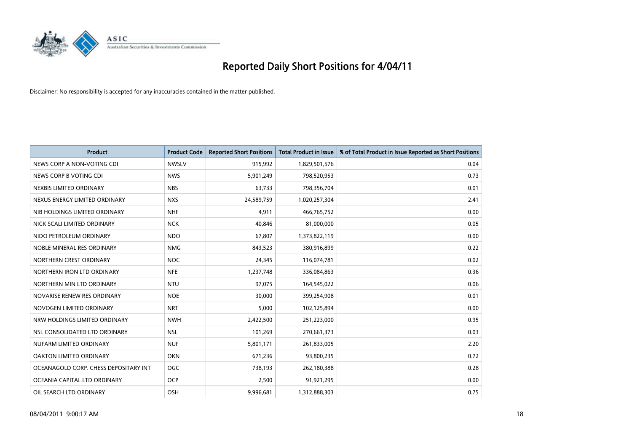

| <b>Product</b>                        | <b>Product Code</b> | <b>Reported Short Positions</b> | Total Product in Issue | % of Total Product in Issue Reported as Short Positions |
|---------------------------------------|---------------------|---------------------------------|------------------------|---------------------------------------------------------|
| NEWS CORP A NON-VOTING CDI            | <b>NWSLV</b>        | 915,992                         | 1,829,501,576          | 0.04                                                    |
| NEWS CORP B VOTING CDI                | <b>NWS</b>          | 5,901,249                       | 798,520,953            | 0.73                                                    |
| NEXBIS LIMITED ORDINARY               | <b>NBS</b>          | 63,733                          | 798,356,704            | 0.01                                                    |
| NEXUS ENERGY LIMITED ORDINARY         | <b>NXS</b>          | 24,589,759                      | 1,020,257,304          | 2.41                                                    |
| NIB HOLDINGS LIMITED ORDINARY         | <b>NHF</b>          | 4,911                           | 466,765,752            | 0.00                                                    |
| NICK SCALI LIMITED ORDINARY           | <b>NCK</b>          | 40,846                          | 81,000,000             | 0.05                                                    |
| NIDO PETROLEUM ORDINARY               | <b>NDO</b>          | 67,807                          | 1,373,822,119          | 0.00                                                    |
| NOBLE MINERAL RES ORDINARY            | <b>NMG</b>          | 843,523                         | 380,916,899            | 0.22                                                    |
| NORTHERN CREST ORDINARY               | <b>NOC</b>          | 24,345                          | 116,074,781            | 0.02                                                    |
| NORTHERN IRON LTD ORDINARY            | <b>NFE</b>          | 1,237,748                       | 336,084,863            | 0.36                                                    |
| NORTHERN MIN LTD ORDINARY             | <b>NTU</b>          | 97,075                          | 164,545,022            | 0.06                                                    |
| NOVARISE RENEW RES ORDINARY           | <b>NOE</b>          | 30,000                          | 399,254,908            | 0.01                                                    |
| NOVOGEN LIMITED ORDINARY              | <b>NRT</b>          | 5.000                           | 102,125,894            | 0.00                                                    |
| NRW HOLDINGS LIMITED ORDINARY         | <b>NWH</b>          | 2,422,500                       | 251,223,000            | 0.95                                                    |
| NSL CONSOLIDATED LTD ORDINARY         | <b>NSL</b>          | 101,269                         | 270,661,373            | 0.03                                                    |
| NUFARM LIMITED ORDINARY               | <b>NUF</b>          | 5,801,171                       | 261,833,005            | 2.20                                                    |
| OAKTON LIMITED ORDINARY               | <b>OKN</b>          | 671,236                         | 93,800,235             | 0.72                                                    |
| OCEANAGOLD CORP. CHESS DEPOSITARY INT | OGC                 | 738,193                         | 262,180,388            | 0.28                                                    |
| OCEANIA CAPITAL LTD ORDINARY          | <b>OCP</b>          | 2,500                           | 91,921,295             | 0.00                                                    |
| OIL SEARCH LTD ORDINARY               | OSH                 | 9,996,681                       | 1,312,888,303          | 0.75                                                    |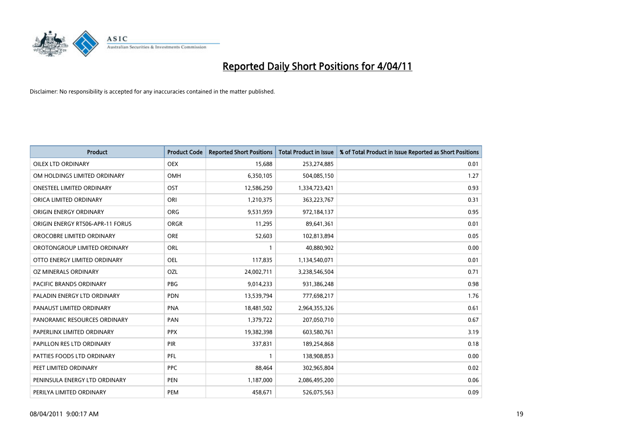

| <b>Product</b>                   | <b>Product Code</b> | <b>Reported Short Positions</b> | <b>Total Product in Issue</b> | % of Total Product in Issue Reported as Short Positions |
|----------------------------------|---------------------|---------------------------------|-------------------------------|---------------------------------------------------------|
| OILEX LTD ORDINARY               | <b>OEX</b>          | 15,688                          | 253,274,885                   | 0.01                                                    |
| OM HOLDINGS LIMITED ORDINARY     | OMH                 | 6,350,105                       | 504,085,150                   | 1.27                                                    |
| <b>ONESTEEL LIMITED ORDINARY</b> | OST                 | 12,586,250                      | 1,334,723,421                 | 0.93                                                    |
| ORICA LIMITED ORDINARY           | ORI                 | 1,210,375                       | 363,223,767                   | 0.31                                                    |
| ORIGIN ENERGY ORDINARY           | <b>ORG</b>          | 9,531,959                       | 972,184,137                   | 0.95                                                    |
| ORIGIN ENERGY RTS06-APR-11 FORUS | <b>ORGR</b>         | 11,295                          | 89,641,361                    | 0.01                                                    |
| OROCOBRE LIMITED ORDINARY        | <b>ORE</b>          | 52,603                          | 102,813,894                   | 0.05                                                    |
| OROTONGROUP LIMITED ORDINARY     | <b>ORL</b>          |                                 | 40,880,902                    | 0.00                                                    |
| OTTO ENERGY LIMITED ORDINARY     | <b>OEL</b>          | 117,835                         | 1,134,540,071                 | 0.01                                                    |
| OZ MINERALS ORDINARY             | OZL                 | 24,002,711                      | 3,238,546,504                 | 0.71                                                    |
| PACIFIC BRANDS ORDINARY          | <b>PBG</b>          | 9,014,233                       | 931,386,248                   | 0.98                                                    |
| PALADIN ENERGY LTD ORDINARY      | <b>PDN</b>          | 13,539,794                      | 777,698,217                   | 1.76                                                    |
| PANAUST LIMITED ORDINARY         | <b>PNA</b>          | 18,481,502                      | 2,964,355,326                 | 0.61                                                    |
| PANORAMIC RESOURCES ORDINARY     | PAN                 | 1,379,722                       | 207,050,710                   | 0.67                                                    |
| PAPERLINX LIMITED ORDINARY       | <b>PPX</b>          | 19,382,398                      | 603,580,761                   | 3.19                                                    |
| PAPILLON RES LTD ORDINARY        | PIR                 | 337,831                         | 189,254,868                   | 0.18                                                    |
| PATTIES FOODS LTD ORDINARY       | PFL                 |                                 | 138,908,853                   | 0.00                                                    |
| PEET LIMITED ORDINARY            | <b>PPC</b>          | 88,464                          | 302,965,804                   | 0.02                                                    |
| PENINSULA ENERGY LTD ORDINARY    | <b>PEN</b>          | 1,187,000                       | 2,086,495,200                 | 0.06                                                    |
| PERILYA LIMITED ORDINARY         | PEM                 | 458.671                         | 526,075,563                   | 0.09                                                    |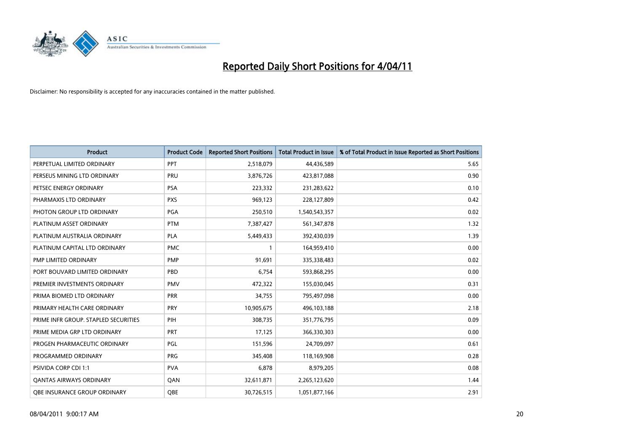

| Product                              | <b>Product Code</b> | <b>Reported Short Positions</b> | <b>Total Product in Issue</b> | % of Total Product in Issue Reported as Short Positions |
|--------------------------------------|---------------------|---------------------------------|-------------------------------|---------------------------------------------------------|
| PERPETUAL LIMITED ORDINARY           | <b>PPT</b>          | 2,518,079                       | 44,436,589                    | 5.65                                                    |
| PERSEUS MINING LTD ORDINARY          | PRU                 | 3,876,726                       | 423,817,088                   | 0.90                                                    |
| PETSEC ENERGY ORDINARY               | <b>PSA</b>          | 223,332                         | 231,283,622                   | 0.10                                                    |
| PHARMAXIS LTD ORDINARY               | <b>PXS</b>          | 969,123                         | 228,127,809                   | 0.42                                                    |
| PHOTON GROUP LTD ORDINARY            | PGA                 | 250,510                         | 1,540,543,357                 | 0.02                                                    |
| PLATINUM ASSET ORDINARY              | <b>PTM</b>          | 7,387,427                       | 561,347,878                   | 1.32                                                    |
| PLATINUM AUSTRALIA ORDINARY          | <b>PLA</b>          | 5,449,433                       | 392,430,039                   | 1.39                                                    |
| PLATINUM CAPITAL LTD ORDINARY        | <b>PMC</b>          |                                 | 164,959,410                   | 0.00                                                    |
| PMP LIMITED ORDINARY                 | <b>PMP</b>          | 91,691                          | 335,338,483                   | 0.02                                                    |
| PORT BOUVARD LIMITED ORDINARY        | PBD                 | 6,754                           | 593,868,295                   | 0.00                                                    |
| PREMIER INVESTMENTS ORDINARY         | <b>PMV</b>          | 472,322                         | 155,030,045                   | 0.31                                                    |
| PRIMA BIOMED LTD ORDINARY            | <b>PRR</b>          | 34,755                          | 795,497,098                   | 0.00                                                    |
| PRIMARY HEALTH CARE ORDINARY         | PRY                 | 10,905,675                      | 496,103,188                   | 2.18                                                    |
| PRIME INFR GROUP. STAPLED SECURITIES | PIH                 | 308,735                         | 351,776,795                   | 0.09                                                    |
| PRIME MEDIA GRP LTD ORDINARY         | <b>PRT</b>          | 17,125                          | 366,330,303                   | 0.00                                                    |
| PROGEN PHARMACEUTIC ORDINARY         | PGL                 | 151,596                         | 24,709,097                    | 0.61                                                    |
| PROGRAMMED ORDINARY                  | <b>PRG</b>          | 345,408                         | 118,169,908                   | 0.28                                                    |
| PSIVIDA CORP CDI 1:1                 | <b>PVA</b>          | 6,878                           | 8,979,205                     | 0.08                                                    |
| <b>QANTAS AIRWAYS ORDINARY</b>       | QAN                 | 32,611,871                      | 2,265,123,620                 | 1.44                                                    |
| <b>QBE INSURANCE GROUP ORDINARY</b>  | <b>OBE</b>          | 30,726,515                      | 1,051,877,166                 | 2.91                                                    |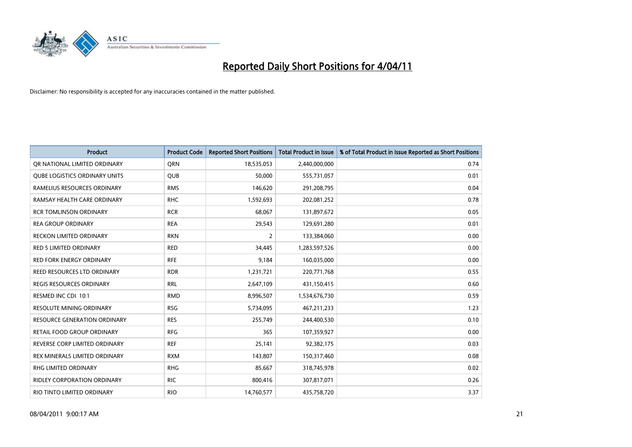

| Product                              | <b>Product Code</b> | <b>Reported Short Positions</b> | Total Product in Issue | % of Total Product in Issue Reported as Short Positions |
|--------------------------------------|---------------------|---------------------------------|------------------------|---------------------------------------------------------|
| OR NATIONAL LIMITED ORDINARY         | <b>ORN</b>          | 18,535,053                      | 2,440,000,000          | 0.74                                                    |
| <b>QUBE LOGISTICS ORDINARY UNITS</b> | <b>QUB</b>          | 50,000                          | 555,731,057            | 0.01                                                    |
| RAMELIUS RESOURCES ORDINARY          | <b>RMS</b>          | 146,620                         | 291,208,795            | 0.04                                                    |
| RAMSAY HEALTH CARE ORDINARY          | <b>RHC</b>          | 1,592,693                       | 202,081,252            | 0.78                                                    |
| <b>RCR TOMLINSON ORDINARY</b>        | <b>RCR</b>          | 68,067                          | 131,897,672            | 0.05                                                    |
| <b>REA GROUP ORDINARY</b>            | <b>REA</b>          | 29,543                          | 129,691,280            | 0.01                                                    |
| <b>RECKON LIMITED ORDINARY</b>       | <b>RKN</b>          | 2                               | 133,384,060            | 0.00                                                    |
| RED 5 LIMITED ORDINARY               | <b>RED</b>          | 34,445                          | 1,283,597,526          | 0.00                                                    |
| RED FORK ENERGY ORDINARY             | <b>RFE</b>          | 9,184                           | 160,035,000            | 0.00                                                    |
| <b>REED RESOURCES LTD ORDINARY</b>   | <b>RDR</b>          | 1,231,721                       | 220,771,768            | 0.55                                                    |
| <b>REGIS RESOURCES ORDINARY</b>      | <b>RRL</b>          | 2,647,109                       | 431,150,415            | 0.60                                                    |
| RESMED INC CDI 10:1                  | <b>RMD</b>          | 8,996,507                       | 1,534,676,730          | 0.59                                                    |
| <b>RESOLUTE MINING ORDINARY</b>      | <b>RSG</b>          | 5,734,095                       | 467,211,233            | 1.23                                                    |
| <b>RESOURCE GENERATION ORDINARY</b>  | <b>RES</b>          | 255,749                         | 244,400,530            | 0.10                                                    |
| <b>RETAIL FOOD GROUP ORDINARY</b>    | <b>RFG</b>          | 365                             | 107,359,927            | 0.00                                                    |
| REVERSE CORP LIMITED ORDINARY        | <b>REF</b>          | 25,141                          | 92,382,175             | 0.03                                                    |
| <b>REX MINERALS LIMITED ORDINARY</b> | <b>RXM</b>          | 143,807                         | 150,317,460            | 0.08                                                    |
| RHG LIMITED ORDINARY                 | <b>RHG</b>          | 85,667                          | 318,745,978            | 0.02                                                    |
| <b>RIDLEY CORPORATION ORDINARY</b>   | <b>RIC</b>          | 800,416                         | 307,817,071            | 0.26                                                    |
| RIO TINTO LIMITED ORDINARY           | <b>RIO</b>          | 14,760,577                      | 435,758,720            | 3.37                                                    |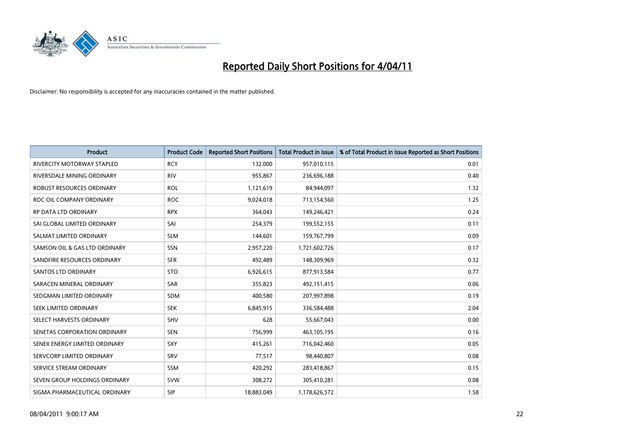

| Product                           | <b>Product Code</b> | <b>Reported Short Positions</b> | <b>Total Product in Issue</b> | % of Total Product in Issue Reported as Short Positions |
|-----------------------------------|---------------------|---------------------------------|-------------------------------|---------------------------------------------------------|
| <b>RIVERCITY MOTORWAY STAPLED</b> | <b>RCY</b>          | 132,000                         | 957,010,115                   | 0.01                                                    |
| RIVERSDALE MINING ORDINARY        | <b>RIV</b>          | 955,867                         | 236,696,188                   | 0.40                                                    |
| ROBUST RESOURCES ORDINARY         | <b>ROL</b>          | 1,121,619                       | 84,944,097                    | 1.32                                                    |
| ROC OIL COMPANY ORDINARY          | <b>ROC</b>          | 9,024,018                       | 713,154,560                   | 1.25                                                    |
| <b>RP DATA LTD ORDINARY</b>       | <b>RPX</b>          | 364,043                         | 149,246,421                   | 0.24                                                    |
| SAI GLOBAL LIMITED ORDINARY       | SAI                 | 254,379                         | 199,552,155                   | 0.11                                                    |
| SALMAT LIMITED ORDINARY           | <b>SLM</b>          | 144,601                         | 159,767,799                   | 0.09                                                    |
| SAMSON OIL & GAS LTD ORDINARY     | <b>SSN</b>          | 2,957,220                       | 1,721,602,726                 | 0.17                                                    |
| SANDFIRE RESOURCES ORDINARY       | <b>SFR</b>          | 492,489                         | 148,309,969                   | 0.32                                                    |
| SANTOS LTD ORDINARY               | <b>STO</b>          | 6,926,615                       | 877,913,584                   | 0.77                                                    |
| SARACEN MINERAL ORDINARY          | SAR                 | 355,823                         | 492,151,415                   | 0.06                                                    |
| SEDGMAN LIMITED ORDINARY          | SDM                 | 400,580                         | 207,997,898                   | 0.19                                                    |
| SEEK LIMITED ORDINARY             | <b>SEK</b>          | 6,845,915                       | 336,584,488                   | 2.04                                                    |
| SELECT HARVESTS ORDINARY          | <b>SHV</b>          | 628                             | 55,667,043                    | 0.00                                                    |
| SENETAS CORPORATION ORDINARY      | <b>SEN</b>          | 756,999                         | 463,105,195                   | 0.16                                                    |
| SENEX ENERGY LIMITED ORDINARY     | SXY                 | 415,261                         | 716,042,460                   | 0.05                                                    |
| SERVCORP LIMITED ORDINARY         | SRV                 | 77,517                          | 98,440,807                    | 0.08                                                    |
| SERVICE STREAM ORDINARY           | <b>SSM</b>          | 420,292                         | 283,418,867                   | 0.15                                                    |
| SEVEN GROUP HOLDINGS ORDINARY     | <b>SVW</b>          | 308,272                         | 305,410,281                   | 0.08                                                    |
| SIGMA PHARMACEUTICAL ORDINARY     | <b>SIP</b>          | 18,883,049                      | 1,178,626,572                 | 1.58                                                    |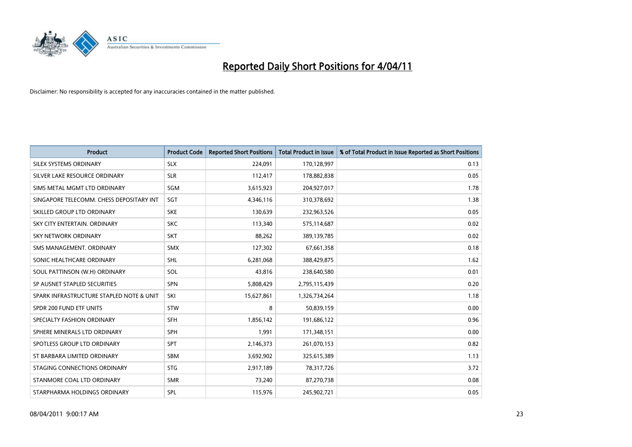

| <b>Product</b>                           | <b>Product Code</b> | <b>Reported Short Positions</b> | <b>Total Product in Issue</b> | % of Total Product in Issue Reported as Short Positions |
|------------------------------------------|---------------------|---------------------------------|-------------------------------|---------------------------------------------------------|
| SILEX SYSTEMS ORDINARY                   | <b>SLX</b>          | 224,091                         | 170,128,997                   | 0.13                                                    |
| SILVER LAKE RESOURCE ORDINARY            | <b>SLR</b>          | 112,417                         | 178,882,838                   | 0.05                                                    |
| SIMS METAL MGMT LTD ORDINARY             | SGM                 | 3,615,923                       | 204,927,017                   | 1.78                                                    |
| SINGAPORE TELECOMM. CHESS DEPOSITARY INT | SGT                 | 4,346,116                       | 310,378,692                   | 1.38                                                    |
| SKILLED GROUP LTD ORDINARY               | <b>SKE</b>          | 130,639                         | 232,963,526                   | 0.05                                                    |
| SKY CITY ENTERTAIN, ORDINARY             | <b>SKC</b>          | 113,340                         | 575,114,687                   | 0.02                                                    |
| <b>SKY NETWORK ORDINARY</b>              | <b>SKT</b>          | 88,262                          | 389,139,785                   | 0.02                                                    |
| SMS MANAGEMENT, ORDINARY                 | <b>SMX</b>          | 127,302                         | 67,661,358                    | 0.18                                                    |
| SONIC HEALTHCARE ORDINARY                | SHL                 | 6,281,068                       | 388,429,875                   | 1.62                                                    |
| SOUL PATTINSON (W.H) ORDINARY            | SOL                 | 43,816                          | 238,640,580                   | 0.01                                                    |
| SP AUSNET STAPLED SECURITIES             | <b>SPN</b>          | 5,808,429                       | 2,795,115,439                 | 0.20                                                    |
| SPARK INFRASTRUCTURE STAPLED NOTE & UNIT | SKI                 | 15,627,861                      | 1,326,734,264                 | 1.18                                                    |
| SPDR 200 FUND ETF UNITS                  | <b>STW</b>          | 8                               | 50,839,159                    | 0.00                                                    |
| SPECIALTY FASHION ORDINARY               | <b>SFH</b>          | 1,856,142                       | 191,686,122                   | 0.96                                                    |
| SPHERE MINERALS LTD ORDINARY             | <b>SPH</b>          | 1,991                           | 171,348,151                   | 0.00                                                    |
| SPOTLESS GROUP LTD ORDINARY              | <b>SPT</b>          | 2,146,373                       | 261,070,153                   | 0.82                                                    |
| ST BARBARA LIMITED ORDINARY              | <b>SBM</b>          | 3,692,902                       | 325,615,389                   | 1.13                                                    |
| STAGING CONNECTIONS ORDINARY             | <b>STG</b>          | 2,917,189                       | 78,317,726                    | 3.72                                                    |
| STANMORE COAL LTD ORDINARY               | <b>SMR</b>          | 73,240                          | 87,270,738                    | 0.08                                                    |
| STARPHARMA HOLDINGS ORDINARY             | SPL                 | 115,976                         | 245,902,721                   | 0.05                                                    |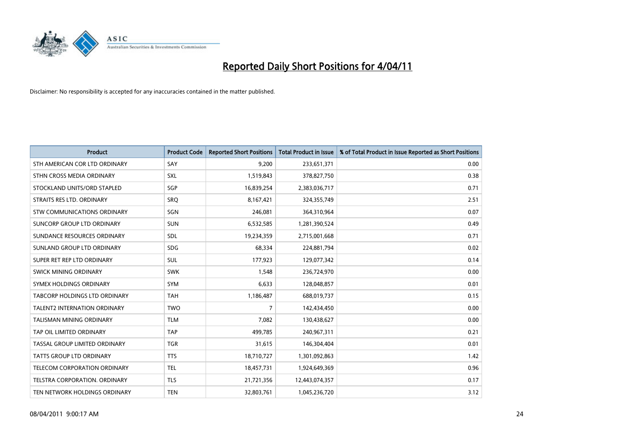

| <b>Product</b>                      | <b>Product Code</b> | <b>Reported Short Positions</b> | <b>Total Product in Issue</b> | % of Total Product in Issue Reported as Short Positions |
|-------------------------------------|---------------------|---------------------------------|-------------------------------|---------------------------------------------------------|
| STH AMERICAN COR LTD ORDINARY       | SAY                 | 9,200                           | 233,651,371                   | 0.00                                                    |
| STHN CROSS MEDIA ORDINARY           | SXL                 | 1,519,843                       | 378,827,750                   | 0.38                                                    |
| STOCKLAND UNITS/ORD STAPLED         | SGP                 | 16,839,254                      | 2,383,036,717                 | 0.71                                                    |
| STRAITS RES LTD. ORDINARY           | SRQ                 | 8,167,421                       | 324,355,749                   | 2.51                                                    |
| <b>STW COMMUNICATIONS ORDINARY</b>  | SGN                 | 246,081                         | 364,310,964                   | 0.07                                                    |
| SUNCORP GROUP LTD ORDINARY          | <b>SUN</b>          | 6,532,585                       | 1,281,390,524                 | 0.49                                                    |
| SUNDANCE RESOURCES ORDINARY         | SDL                 | 19,234,359                      | 2,715,001,668                 | 0.71                                                    |
| SUNLAND GROUP LTD ORDINARY          | <b>SDG</b>          | 68,334                          | 224,881,794                   | 0.02                                                    |
| SUPER RET REP LTD ORDINARY          | SUL                 | 177,923                         | 129,077,342                   | 0.14                                                    |
| SWICK MINING ORDINARY               | <b>SWK</b>          | 1,548                           | 236,724,970                   | 0.00                                                    |
| SYMEX HOLDINGS ORDINARY             | <b>SYM</b>          | 6,633                           | 128,048,857                   | 0.01                                                    |
| TABCORP HOLDINGS LTD ORDINARY       | <b>TAH</b>          | 1,186,487                       | 688,019,737                   | 0.15                                                    |
| <b>TALENT2 INTERNATION ORDINARY</b> | <b>TWO</b>          | 7                               | 142,434,450                   | 0.00                                                    |
| <b>TALISMAN MINING ORDINARY</b>     | <b>TLM</b>          | 7,082                           | 130,438,627                   | 0.00                                                    |
| TAP OIL LIMITED ORDINARY            | <b>TAP</b>          | 499,785                         | 240,967,311                   | 0.21                                                    |
| TASSAL GROUP LIMITED ORDINARY       | <b>TGR</b>          | 31,615                          | 146,304,404                   | 0.01                                                    |
| <b>TATTS GROUP LTD ORDINARY</b>     | <b>TTS</b>          | 18,710,727                      | 1,301,092,863                 | 1.42                                                    |
| TELECOM CORPORATION ORDINARY        | <b>TEL</b>          | 18,457,731                      | 1,924,649,369                 | 0.96                                                    |
| TELSTRA CORPORATION, ORDINARY       | <b>TLS</b>          | 21,721,356                      | 12,443,074,357                | 0.17                                                    |
| TEN NETWORK HOLDINGS ORDINARY       | <b>TEN</b>          | 32,803,761                      | 1,045,236,720                 | 3.12                                                    |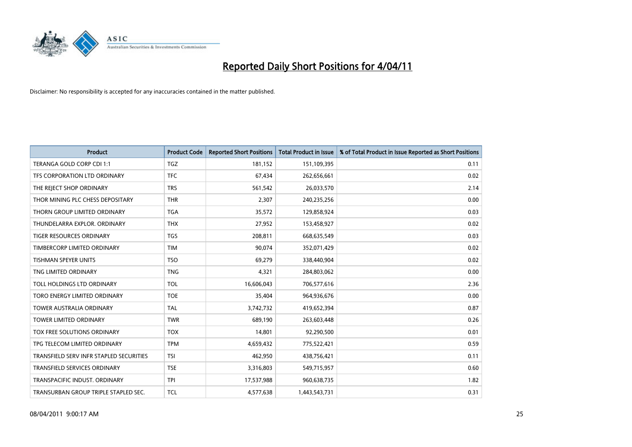

| <b>Product</b>                          | <b>Product Code</b> | <b>Reported Short Positions</b> | Total Product in Issue | % of Total Product in Issue Reported as Short Positions |
|-----------------------------------------|---------------------|---------------------------------|------------------------|---------------------------------------------------------|
| TERANGA GOLD CORP CDI 1:1               | TGZ                 | 181,152                         | 151,109,395            | 0.11                                                    |
| TFS CORPORATION LTD ORDINARY            | <b>TFC</b>          | 67,434                          | 262,656,661            | 0.02                                                    |
| THE REJECT SHOP ORDINARY                | <b>TRS</b>          | 561,542                         | 26,033,570             | 2.14                                                    |
| THOR MINING PLC CHESS DEPOSITARY        | <b>THR</b>          | 2,307                           | 240,235,256            | 0.00                                                    |
| THORN GROUP LIMITED ORDINARY            | <b>TGA</b>          | 35,572                          | 129,858,924            | 0.03                                                    |
| THUNDELARRA EXPLOR, ORDINARY            | <b>THX</b>          | 27,952                          | 153,458,927            | 0.02                                                    |
| <b>TIGER RESOURCES ORDINARY</b>         | <b>TGS</b>          | 208,811                         | 668,635,549            | 0.03                                                    |
| TIMBERCORP LIMITED ORDINARY             | <b>TIM</b>          | 90,074                          | 352,071,429            | 0.02                                                    |
| <b>TISHMAN SPEYER UNITS</b>             | <b>TSO</b>          | 69,279                          | 338,440,904            | 0.02                                                    |
| TNG LIMITED ORDINARY                    | <b>TNG</b>          | 4.321                           | 284,803,062            | 0.00                                                    |
| TOLL HOLDINGS LTD ORDINARY              | <b>TOL</b>          | 16,606,043                      | 706,577,616            | 2.36                                                    |
| TORO ENERGY LIMITED ORDINARY            | <b>TOE</b>          | 35,404                          | 964,936,676            | 0.00                                                    |
| <b>TOWER AUSTRALIA ORDINARY</b>         | <b>TAL</b>          | 3,742,732                       | 419,652,394            | 0.87                                                    |
| <b>TOWER LIMITED ORDINARY</b>           | <b>TWR</b>          | 689.190                         | 263,603,448            | 0.26                                                    |
| TOX FREE SOLUTIONS ORDINARY             | <b>TOX</b>          | 14,801                          | 92,290,500             | 0.01                                                    |
| TPG TELECOM LIMITED ORDINARY            | <b>TPM</b>          | 4,659,432                       | 775,522,421            | 0.59                                                    |
| TRANSFIELD SERV INFR STAPLED SECURITIES | <b>TSI</b>          | 462,950                         | 438,756,421            | 0.11                                                    |
| TRANSFIELD SERVICES ORDINARY            | <b>TSE</b>          | 3,316,803                       | 549,715,957            | 0.60                                                    |
| TRANSPACIFIC INDUST, ORDINARY           | <b>TPI</b>          | 17,537,988                      | 960,638,735            | 1.82                                                    |
| TRANSURBAN GROUP TRIPLE STAPLED SEC.    | <b>TCL</b>          | 4,577,638                       | 1,443,543,731          | 0.31                                                    |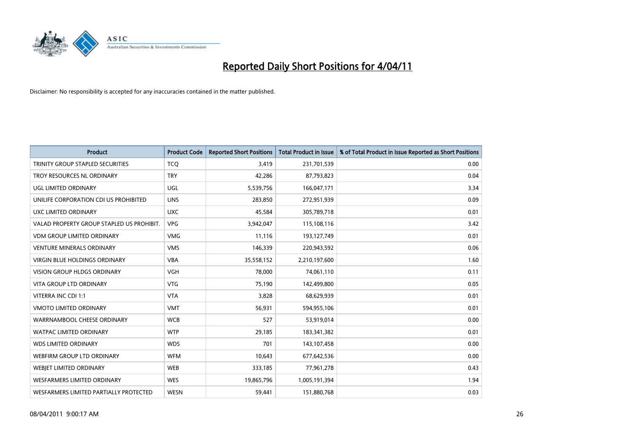

| <b>Product</b>                            | <b>Product Code</b> | <b>Reported Short Positions</b> | Total Product in Issue | % of Total Product in Issue Reported as Short Positions |
|-------------------------------------------|---------------------|---------------------------------|------------------------|---------------------------------------------------------|
| TRINITY GROUP STAPLED SECURITIES          | <b>TCQ</b>          | 3,419                           | 231,701,539            | 0.00                                                    |
| TROY RESOURCES NL ORDINARY                | <b>TRY</b>          | 42,286                          | 87,793,823             | 0.04                                                    |
| <b>UGL LIMITED ORDINARY</b>               | <b>UGL</b>          | 5,539,756                       | 166,047,171            | 3.34                                                    |
| UNILIFE CORPORATION CDI US PROHIBITED     | <b>UNS</b>          | 283,850                         | 272,951,939            | 0.09                                                    |
| UXC LIMITED ORDINARY                      | <b>UXC</b>          | 45,584                          | 305,789,718            | 0.01                                                    |
| VALAD PROPERTY GROUP STAPLED US PROHIBIT. | <b>VPG</b>          | 3,942,047                       | 115,108,116            | 3.42                                                    |
| <b>VDM GROUP LIMITED ORDINARY</b>         | <b>VMG</b>          | 11,116                          | 193,127,749            | 0.01                                                    |
| <b>VENTURE MINERALS ORDINARY</b>          | <b>VMS</b>          | 146,339                         | 220,943,592            | 0.06                                                    |
| VIRGIN BLUE HOLDINGS ORDINARY             | <b>VBA</b>          | 35,558,152                      | 2,210,197,600          | 1.60                                                    |
| <b>VISION GROUP HLDGS ORDINARY</b>        | <b>VGH</b>          | 78.000                          | 74,061,110             | 0.11                                                    |
| <b>VITA GROUP LTD ORDINARY</b>            | <b>VTG</b>          | 75,190                          | 142,499,800            | 0.05                                                    |
| VITERRA INC CDI 1:1                       | <b>VTA</b>          | 3,828                           | 68,629,939             | 0.01                                                    |
| <b>VMOTO LIMITED ORDINARY</b>             | <b>VMT</b>          | 56,931                          | 594,955,106            | 0.01                                                    |
| WARRNAMBOOL CHEESE ORDINARY               | <b>WCB</b>          | 527                             | 53,919,014             | 0.00                                                    |
| <b>WATPAC LIMITED ORDINARY</b>            | <b>WTP</b>          | 29,185                          | 183,341,382            | 0.01                                                    |
| <b>WDS LIMITED ORDINARY</b>               | <b>WDS</b>          | 701                             | 143,107,458            | 0.00                                                    |
| <b>WEBFIRM GROUP LTD ORDINARY</b>         | <b>WFM</b>          | 10,643                          | 677,642,536            | 0.00                                                    |
| <b>WEBIET LIMITED ORDINARY</b>            | <b>WEB</b>          | 333,185                         | 77,961,278             | 0.43                                                    |
| WESFARMERS LIMITED ORDINARY               | <b>WES</b>          | 19,865,796                      | 1,005,191,394          | 1.94                                                    |
| WESFARMERS LIMITED PARTIALLY PROTECTED    | <b>WESN</b>         | 59,441                          | 151,880,768            | 0.03                                                    |